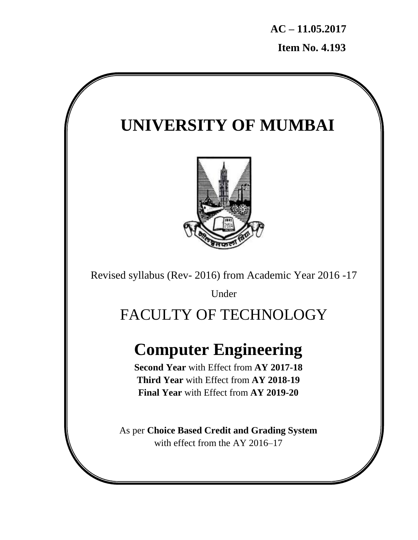**AC – 11.05.2017 Item No. 4.193**

# **UNIVERSITY OF MUMBAI**



Revised syllabus (Rev- 2016) from Academic Year 2016 -17

Under

# FACULTY OF TECHNOLOGY

# **Computer Engineering**

**Second Year** with Effect from **AY 2017-18 Third Year** with Effect from **AY 2018-19 Final Year** with Effect from **AY 2019-20**

As per **Choice Based Credit and Grading System** with effect from the AY 2016–17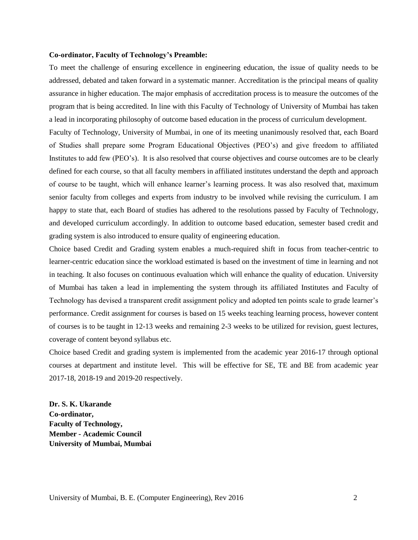#### **Co-ordinator, Faculty of Technology's Preamble:**

To meet the challenge of ensuring excellence in engineering education, the issue of quality needs to be addressed, debated and taken forward in a systematic manner. Accreditation is the principal means of quality assurance in higher education. The major emphasis of accreditation process is to measure the outcomes of the program that is being accredited. In line with this Faculty of Technology of University of Mumbai has taken a lead in incorporating philosophy of outcome based education in the process of curriculum development.

Faculty of Technology, University of Mumbai, in one of its meeting unanimously resolved that, each Board of Studies shall prepare some Program Educational Objectives (PEO"s) and give freedom to affiliated Institutes to add few (PEO"s). It is also resolved that course objectives and course outcomes are to be clearly defined for each course, so that all faculty members in affiliated institutes understand the depth and approach of course to be taught, which will enhance learner"s learning process. It was also resolved that, maximum senior faculty from colleges and experts from industry to be involved while revising the curriculum. I am happy to state that, each Board of studies has adhered to the resolutions passed by Faculty of Technology, and developed curriculum accordingly. In addition to outcome based education, semester based credit and grading system is also introduced to ensure quality of engineering education.

Choice based Credit and Grading system enables a much-required shift in focus from teacher-centric to learner-centric education since the workload estimated is based on the investment of time in learning and not in teaching. It also focuses on continuous evaluation which will enhance the quality of education. University of Mumbai has taken a lead in implementing the system through its affiliated Institutes and Faculty of Technology has devised a transparent credit assignment policy and adopted ten points scale to grade learner"s performance. Credit assignment for courses is based on 15 weeks teaching learning process, however content of courses is to be taught in 12-13 weeks and remaining 2-3 weeks to be utilized for revision, guest lectures, coverage of content beyond syllabus etc.

Choice based Credit and grading system is implemented from the academic year 2016-17 through optional courses at department and institute level. This will be effective for SE, TE and BE from academic year 2017-18, 2018-19 and 2019-20 respectively.

**Dr. S. K. Ukarande Co-ordinator, Faculty of Technology, Member - Academic Council University of Mumbai, Mumbai**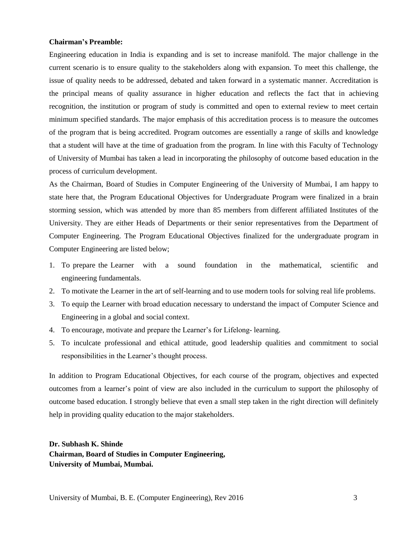#### **Chairman's Preamble:**

Engineering education in India is expanding and is set to increase manifold. The major challenge in the current scenario is to ensure quality to the stakeholders along with expansion. To meet this challenge, the issue of quality needs to be addressed, debated and taken forward in a systematic manner. Accreditation is the principal means of quality assurance in higher education and reflects the fact that in achieving recognition, the institution or program of study is committed and open to external review to meet certain minimum specified standards. The major emphasis of this accreditation process is to measure the outcomes of the program that is being accredited. Program outcomes are essentially a range of skills and knowledge that a student will have at the time of graduation from the program. In line with this Faculty of Technology of University of Mumbai has taken a lead in incorporating the philosophy of outcome based education in the process of curriculum development.

As the Chairman, Board of Studies in Computer Engineering of the University of Mumbai, I am happy to state here that, the Program Educational Objectives for Undergraduate Program were finalized in a brain storming session, which was attended by more than 85 members from different affiliated Institutes of the University. They are either Heads of Departments or their senior representatives from the Department of Computer Engineering. The Program Educational Objectives finalized for the undergraduate program in Computer Engineering are listed below;

- 1. To prepare the Learner with a sound foundation in the mathematical, scientific and engineering fundamentals.
- 2. To motivate the Learner in the art of self-learning and to use modern tools for solving real life problems.
- 3. To equip the Learner with broad education necessary to understand the impact of Computer Science and Engineering in a global and social context.
- 4. To encourage, motivate and prepare the Learner's for Lifelong-learning.
- 5. To inculcate professional and ethical attitude, good leadership qualities and commitment to social responsibilities in the Learner"s thought process.

In addition to Program Educational Objectives, for each course of the program, objectives and expected outcomes from a learner"s point of view are also included in the curriculum to support the philosophy of outcome based education. I strongly believe that even a small step taken in the right direction will definitely help in providing quality education to the major stakeholders.

## **Dr. Subhash K. Shinde Chairman, Board of Studies in Computer Engineering, University of Mumbai, Mumbai.**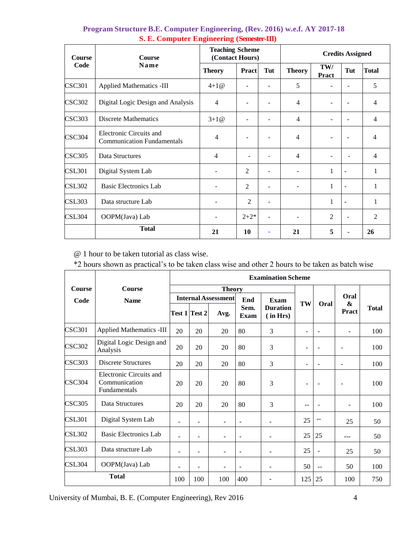| Course        | <b>Course</b>                                                | <b>Teaching Scheme</b><br>(Contact Hours) |                          |     | <b>Credits Assigned</b>  |                     |                          |                |  |  |
|---------------|--------------------------------------------------------------|-------------------------------------------|--------------------------|-----|--------------------------|---------------------|--------------------------|----------------|--|--|
| Code          | Name                                                         | <b>Theory</b>                             | Pract                    | Tut | <b>Theory</b>            | TW/<br><b>Pract</b> | Tut                      | <b>Total</b>   |  |  |
| <b>CSC301</b> | <b>Applied Mathematics -III</b>                              | $4+1@$                                    |                          |     | 5                        |                     |                          | 5              |  |  |
| <b>CSC302</b> | Digital Logic Design and Analysis                            | $\overline{4}$                            |                          |     | 4                        |                     |                          | 4              |  |  |
| <b>CSC303</b> | <b>Discrete Mathematics</b>                                  | $3+1@$                                    |                          |     | 4                        |                     |                          | $\overline{4}$ |  |  |
| <b>CSC304</b> | Electronic Circuits and<br><b>Communication Fundamentals</b> | 4                                         |                          |     | $\overline{4}$           |                     |                          | 4              |  |  |
| <b>CSC305</b> | Data Structures                                              | $\overline{4}$                            | $\overline{\phantom{a}}$ |     | $\overline{4}$           |                     |                          | $\overline{4}$ |  |  |
| <b>CSL301</b> | Digital System Lab                                           |                                           | $\overline{c}$           |     | ۰                        | 1                   | $\overline{\phantom{a}}$ | 1              |  |  |
| <b>CSL302</b> | <b>Basic Electronics Lab</b>                                 |                                           | 2                        | ۰   | -                        | 1                   | $\blacksquare$           | 1              |  |  |
| <b>CSL303</b> | Data structure Lab                                           |                                           | $\overline{2}$           | ۰   |                          | 1                   | $\overline{\phantom{a}}$ | 1              |  |  |
| CSL304        | OOPM(Java) Lab                                               |                                           | $2 + 2*$                 |     | $\overline{\phantom{a}}$ | $\overline{2}$      | L,                       | $\overline{2}$ |  |  |
|               | <b>Total</b>                                                 | 21                                        | <b>10</b>                |     | 21                       | 5                   |                          | 26             |  |  |

## **Program Structure B.E. Computer Engineering, (Rev. 2016) w.e.f. AY 2017-18 S. E. Computer Engineering (Semester-III)**

@ 1 hour to be taken tutorial as class wise.

\*2 hours shown as practical"s to be taken class wise and other 2 hours to be taken as batch wise

|               |                                                          | <b>Examination Scheme</b> |                      |                            |                          |                             |                          |                          |                   |              |  |  |
|---------------|----------------------------------------------------------|---------------------------|----------------------|----------------------------|--------------------------|-----------------------------|--------------------------|--------------------------|-------------------|--------------|--|--|
| <b>Course</b> | <b>Course</b>                                            |                           |                      | <b>Theory</b>              |                          |                             |                          |                          | Oral              |              |  |  |
| Code          | <b>Name</b>                                              |                           |                      | <b>Internal Assessment</b> | End                      | Exam                        |                          |                          |                   |              |  |  |
|               |                                                          |                           | <b>Test 1 Test 2</b> | Avg.                       | Sem.<br>Exam             | <b>Duration</b><br>(in Hrs) | TW                       | Oral                     | &<br><b>Pract</b> | <b>Total</b> |  |  |
| <b>CSC301</b> | <b>Applied Mathematics -III</b>                          | 20                        | 20                   | 20                         | 80                       | 3                           | $\overline{\phantom{a}}$ | $\overline{\phantom{a}}$ | ٠                 | 100          |  |  |
| <b>CSC302</b> | Digital Logic Design and<br>Analysis                     | 20                        | 20                   | 20                         | 80                       | 3                           |                          | $\overline{\phantom{m}}$ |                   | 100          |  |  |
| <b>CSC303</b> | <b>Discrete Structures</b>                               | 20                        | 20                   | 20                         | 80                       | 3                           | $\qquad \qquad -$        | $\blacksquare$           |                   | 100          |  |  |
| <b>CSC304</b> | Electronic Circuits and<br>Communication<br>Fundamentals | 20                        | 20                   | 20                         | 80                       | 3                           | $\overline{\phantom{a}}$ | $\overline{\phantom{a}}$ |                   | 100          |  |  |
| <b>CSC305</b> | Data Structures                                          | 20                        | 20                   | 20                         | 80                       | 3                           | $-$                      |                          | ä,                | 100          |  |  |
| <b>CSL301</b> | Digital System Lab                                       | $\blacksquare$            | $\overline{a}$       |                            | $\blacksquare$           |                             | 25                       | $- -$                    | 25                | 50           |  |  |
| <b>CSL302</b> | <b>Basic Electronics Lab</b>                             | ٠                         | ۰                    |                            | $\overline{\phantom{a}}$ |                             | 25                       | 25                       |                   | 50           |  |  |
| <b>CSL303</b> | Data structure Lab                                       | $\blacksquare$            | $\blacksquare$       |                            | $\blacksquare$           |                             | 25                       | $\overline{\phantom{a}}$ | 25                | 50           |  |  |
| <b>CSL304</b> | OOPM(Java) Lab                                           | ۰                         | ۰                    |                            | $\blacksquare$           |                             | 50                       | $\sim$ $\sim$            | 50                | 100          |  |  |
|               | <b>Total</b>                                             |                           | 100                  | 100                        | 400                      |                             | 125                      | 25                       | 100               | 750          |  |  |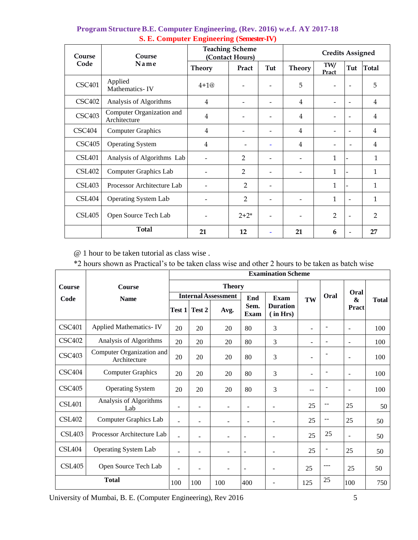| Course        | Course                                    |                          | <b>Teaching Scheme</b><br>(Contact Hours) |     | <b>Credits Assigned</b> |                          |                          |                |  |
|---------------|-------------------------------------------|--------------------------|-------------------------------------------|-----|-------------------------|--------------------------|--------------------------|----------------|--|
| Code          | Name                                      | <b>Theory</b>            | Pract                                     | Tut | <b>Theory</b>           | TW/<br>Pract             | Tut                      | <b>Total</b>   |  |
| <b>CSC401</b> | Applied<br>Mathematics-IV                 | $4 + 10$                 |                                           |     | 5                       | $\overline{\phantom{0}}$ | $\overline{\phantom{0}}$ | 5              |  |
| <b>CSC402</b> | Analysis of Algorithms                    | $\overline{4}$           | -                                         | -   | 4                       | -                        | $\overline{\phantom{a}}$ | 4              |  |
| <b>CSC403</b> | Computer Organization and<br>Architecture | $\overline{4}$           |                                           |     | 4                       |                          | $\overline{\phantom{0}}$ | 4              |  |
| CSC404        | <b>Computer Graphics</b>                  | $\overline{4}$           | -                                         |     | 4                       |                          | $\overline{\phantom{a}}$ | 4              |  |
| CSC405        | <b>Operating System</b>                   | 4                        | $\overline{a}$                            | ۰   | 4                       | -                        |                          | 4              |  |
| <b>CSL401</b> | Analysis of Algorithms Lab                |                          | $\overline{2}$                            |     |                         | 1                        |                          | $\mathbf{1}$   |  |
| <b>CSL402</b> | <b>Computer Graphics Lab</b>              | $\overline{\phantom{a}}$ | $\overline{2}$                            | -   |                         | 1                        |                          | 1              |  |
| <b>CSL403</b> | Processor Architecture Lab                | -                        | 2                                         | -   |                         | 1                        |                          | $\mathbf{1}$   |  |
| CSL404        | Operating System Lab                      | $\overline{\phantom{0}}$ | $\overline{2}$                            |     |                         | 1                        | $\overline{\phantom{a}}$ | 1              |  |
| <b>CSL405</b> | Open Source Tech Lab                      |                          | $2 + 2^*$                                 | -   |                         | $\overline{2}$           | $\overline{\phantom{a}}$ | $\overline{2}$ |  |
|               | <b>Total</b>                              | 21                       | 12                                        | ۳   | 21                      | 6                        | $\overline{\phantom{a}}$ | 27             |  |

## **Program Structure B.E. Computer Engineering, (Rev. 2016) w.e.f. AY 2017-18 S. E. Computer Engineering (Semester-IV)**

@ 1 hour to be taken tutorial as class wise .

\*2 hours shown as Practical"s to be taken class wise and other 2 hours to be taken as batch wise

|               |                                           |                          |        |                            |                          | <b>Examination Scheme</b>   |                          |                |                          |              |
|---------------|-------------------------------------------|--------------------------|--------|----------------------------|--------------------------|-----------------------------|--------------------------|----------------|--------------------------|--------------|
| <b>Course</b> | <b>Course</b>                             |                          |        | <b>Theory</b>              |                          |                             |                          |                |                          | <b>Total</b> |
| Code          | <b>Name</b>                               |                          |        | <b>Internal Assessment</b> | End                      | Exam                        | TW                       | Oral           | Oral<br>&                |              |
|               |                                           | Test 1                   | Test 2 | Avg.                       | Sem.<br>Exam             | <b>Duration</b><br>(in Hrs) |                          |                | Pract                    |              |
| <b>CSC401</b> | <b>Applied Mathematics-IV</b>             | 20                       | 20     | 20                         | 80                       | 3                           |                          |                | $\sim$                   | 100          |
| <b>CSC402</b> | Analysis of Algorithms                    | 20                       | 20     | 20                         | 80                       | 3                           | $\blacksquare$           | $\blacksquare$ | $\sim$                   | 100          |
| <b>CSC403</b> | Computer Organization and<br>Architecture | 20                       | 20     | 20                         | 80                       | 3                           | $\overline{\phantom{m}}$ |                | $\overline{\phantom{a}}$ | 100          |
| <b>CSC404</b> | <b>Computer Graphics</b>                  | 20                       | 20     | 20                         | 80                       | 3                           | $\overline{a}$           |                | $\sim$                   | 100          |
| <b>CSC405</b> | <b>Operating System</b>                   | 20                       | 20     | 20                         | 80                       | 3                           | --                       |                | $\overline{\phantom{a}}$ | 100          |
| CSI 401       | Analysis of Algorithms<br>Lab             | $\overline{\phantom{0}}$ |        |                            | $\overline{\phantom{0}}$ |                             | 25                       | --             | 25                       | 50           |
| <b>CSL402</b> | Computer Graphics Lab                     |                          | ۰      |                            |                          |                             | 25                       |                | 25                       | 50           |
| <b>CSL403</b> | Processor Architecture Lab                | $\overline{a}$           | -      |                            | $\blacksquare$           |                             | 25                       | 25             |                          | 50           |
| <b>CSL404</b> | <b>Operating System Lab</b>               |                          | ۰      |                            | $\overline{\phantom{a}}$ |                             | 25                       |                | 25                       | 50           |
| <b>CSL405</b> | Open Source Tech Lab                      | $\overline{a}$           | ۰      | ٠                          | $\overline{\phantom{a}}$ |                             | 25                       | ---            | 25                       | 50           |
| <b>Total</b>  |                                           | 100                      | 100    | 100                        | 400                      |                             | 125                      | 25             | 100                      | 750          |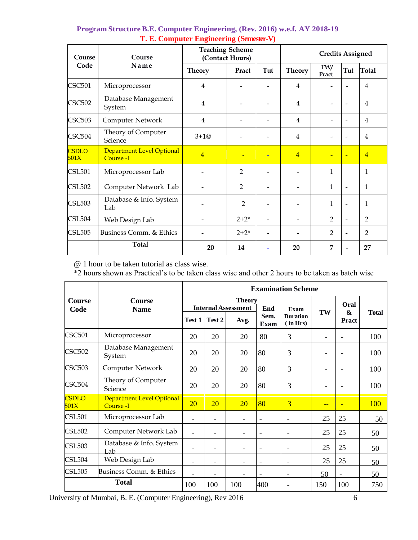| Course               | Course                                 | <b>Teaching Scheme</b> | (Contact Hours) |     | <b>Credits Assigned</b> |                |                          |                |  |  |
|----------------------|----------------------------------------|------------------------|-----------------|-----|-------------------------|----------------|--------------------------|----------------|--|--|
| Code                 | Name                                   | <b>Theory</b>          | Pract           | Tut | <b>Theory</b>           | TW/<br>Pract   | Tut                      | <b>Total</b>   |  |  |
| <b>CSC501</b>        | Microprocessor                         | $\overline{4}$         |                 |     | 4                       |                |                          | $\overline{4}$ |  |  |
| <b>CSC502</b>        | Database Management<br>System          | $\overline{4}$         |                 |     | $\overline{4}$          |                |                          | 4              |  |  |
| <b>CSC503</b>        | Computer Network                       | 4                      |                 |     | $\overline{4}$          |                |                          | $\overline{4}$ |  |  |
| <b>CSC504</b>        | Theory of Computer<br>Science          | $3+1@$                 |                 |     | 4                       |                |                          | 4              |  |  |
| <b>CSDLO</b><br>501X | Department Level Optional<br>Course -I | $\overline{4}$         |                 | Ξ   | $\overline{4}$          | ۳              | $\overline{\phantom{0}}$ | $\overline{4}$ |  |  |
| <b>CSL501</b>        | Microprocessor Lab                     |                        | $\mathfrak{D}$  |     |                         | $\mathbf{1}$   |                          | 1              |  |  |
| <b>CSL502</b>        | Computer Network Lab                   |                        | $\overline{2}$  |     |                         | $\mathbf{1}$   | $\overline{a}$           | $\mathbf{1}$   |  |  |
| <b>CSL503</b>        | Database & Info. System<br>Lab         |                        | 2               |     |                         | $\mathbf{1}$   | $\overline{a}$           | $\mathbf{1}$   |  |  |
| <b>CSL504</b>        | Web Design Lab                         |                        | $2 + 2^*$       |     |                         | $\overline{2}$ | $\overline{a}$           | $\mathfrak{D}$ |  |  |
| <b>CSL505</b>        | Business Comm. & Ethics                |                        | $2 + 2^*$       |     |                         | $\overline{2}$ |                          | $\overline{2}$ |  |  |
|                      | <b>Total</b>                           | 20                     | 14              |     | 20                      | $\overline{7}$ |                          | 27             |  |  |

## **Program Structure B.E. Computer Engineering, (Rev. 2016) w.e.f. AY 2018-19 T. E. Computer Engineering (Semester-V)**

@ 1 hour to be taken tutorial as class wise.

\*2 hours shown as Practical"s to be taken class wise and other 2 hours to be taken as batch wise

|                      |                                        |                          |                          |                            |                          | <b>Examination Scheme</b> |                          |                            |              |
|----------------------|----------------------------------------|--------------------------|--------------------------|----------------------------|--------------------------|---------------------------|--------------------------|----------------------------|--------------|
| Course               | <b>Course</b>                          |                          |                          | <b>Theory</b>              |                          |                           |                          | Oral                       |              |
| Code                 | <b>Name</b>                            |                          |                          | <b>Internal Assessment</b> | End<br>Sem.              | Exam<br><b>Duration</b>   | TW                       | $\boldsymbol{\mathcal{R}}$ | <b>Total</b> |
|                      |                                        | Test 1                   | Test 2                   | Avg.                       | Exam                     | (in Hrs)                  |                          | Pract                      |              |
| <b>CSC501</b>        | Microprocessor                         | 20                       | 20                       | 20                         | 80                       | 3                         |                          |                            | 100          |
| <b>CSC502</b>        | Database Management<br>System          | 20                       | 20                       | 20                         | 80                       | 3                         | $\overline{\phantom{a}}$ |                            | 100          |
| <b>CSC503</b>        | Computer Network                       | 20                       | 20                       | 20                         | 80                       | 3                         | $\overline{\phantom{a}}$ | $\blacksquare$             | 100          |
| <b>CSC504</b>        | Theory of Computer<br>Science          | 20                       | 20                       | 20                         | 80                       | 3                         | $\overline{\phantom{a}}$ |                            | 100          |
| <b>CSDLO</b><br>501X | Department Level Optional<br>Course -I | 20                       | <b>20</b>                | 20                         | 80                       | $\overline{3}$            | --                       |                            | <b>100</b>   |
| <b>CSL501</b>        | Microprocessor Lab                     |                          |                          |                            | $\overline{\phantom{a}}$ |                           | 25                       | 25                         | 50           |
| <b>CSL502</b>        | Computer Network Lab                   |                          |                          |                            | $\overline{\phantom{a}}$ |                           | 25                       | 25                         | 50           |
| <b>CSL503</b>        | Database & Info. System<br>Lab         |                          | $\qquad \qquad -$        | ۰                          | $\overline{\phantom{a}}$ |                           | 25                       | 25                         | 50           |
| <b>CSL504</b>        | Web Design Lab                         | $\overline{\phantom{0}}$ | $\overline{\phantom{a}}$ | -                          | $\overline{\phantom{a}}$ | -                         | 25                       | 25                         | 50           |
| <b>CSL505</b>        | Business Comm. & Ethics                |                          |                          |                            |                          |                           | 50                       |                            | 50           |
|                      | <b>Total</b>                           | 100                      | 100                      | 100                        | 400                      |                           | 150                      | 100                        | 750          |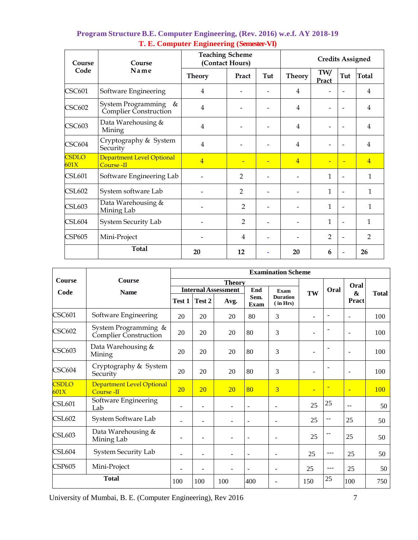| Course               | Course                                           | <b>Teaching Scheme</b><br>(Contact Hours) | <b>Credits Assigned</b>  |     |                |                |                |                |
|----------------------|--------------------------------------------------|-------------------------------------------|--------------------------|-----|----------------|----------------|----------------|----------------|
| Code                 | Name                                             | <b>Theory</b>                             | Pract                    | Tut | <b>Theory</b>  | TW/<br>Pract   | Tut            | <b>Total</b>   |
| <b>CSC601</b>        | Software Engineering                             | 4                                         |                          |     | 4              |                |                | $\overline{4}$ |
| <b>CSC602</b>        | System Programming<br>&<br>Complier Construction | $\overline{4}$                            |                          |     | 4              |                |                | 4              |
| <b>CSC603</b>        | Data Warehousing &<br>Mining                     | $\overline{4}$                            |                          |     | $\overline{4}$ | $\overline{a}$ |                | 4              |
| CSC604               | Cryptography & System<br>Security                | 4                                         |                          |     | $\overline{4}$ |                |                | $\overline{4}$ |
| <b>CSDLO</b><br>601X | Department Level Optional<br>Course -II          | $\overline{4}$                            | $\overline{\phantom{a}}$ | Ξ   | $\overline{4}$ | ÷              |                | $\overline{4}$ |
| <b>CSL601</b>        | Software Engineering Lab                         |                                           | $\overline{2}$           |     |                | 1              |                | $\mathbf{1}$   |
| <b>CSL602</b>        | System software Lab                              |                                           | $\overline{2}$           |     |                | $\mathbf{1}$   |                | $\mathbf{1}$   |
| <b>CSL603</b>        | Data Warehousing &<br>Mining Lab                 |                                           | $\overline{2}$           |     |                | $\mathbf{1}$   |                | $\mathbf{1}$   |
| <b>CSL604</b>        | System Security Lab                              |                                           | $\overline{2}$           |     |                | $\mathbf{1}$   |                | 1              |
| <b>CSP605</b>        | Mini-Project                                     |                                           | 4                        |     |                | $\overline{2}$ | $\overline{a}$ | $\overline{2}$ |
|                      | <b>Total</b>                                     | 20                                        | 12                       |     | 20             | 6              |                | 26             |

## **Program Structure B.E. Computer Engineering, (Rev. 2016) w.e.f. AY 2018-19 T. E. Computer Engineering (Semester-VI)**

|                      |                                                      |                          |                          |                            |                          | <b>Examination Scheme</b>   |                          |                |                          |              |
|----------------------|------------------------------------------------------|--------------------------|--------------------------|----------------------------|--------------------------|-----------------------------|--------------------------|----------------|--------------------------|--------------|
| <b>Course</b>        | Course                                               |                          |                          | <b>Theory</b>              |                          |                             |                          |                | Oral                     |              |
| Code                 | <b>Name</b>                                          |                          |                          | <b>Internal Assessment</b> | End                      | Exam                        | TW                       | Oral           | <b>&amp;</b>             | <b>Total</b> |
|                      |                                                      | Test 1                   | Test 2                   | Avg.                       | Sem.<br>Exam             | <b>Duration</b><br>(in Hrs) |                          |                | Pract                    |              |
| <b>CSC601</b>        | Software Engineering                                 | 20                       | 20                       | 20                         | 80                       | 3                           | ۰                        | $\blacksquare$ | $\blacksquare$           | 100          |
| <b>CSC602</b>        | System Programming &<br><b>Complier Construction</b> | 20                       | 20                       | 20                         | 80                       | 3                           | $\overline{\phantom{0}}$ |                | $\overline{\phantom{a}}$ | 100          |
| <b>CSC603</b>        | Data Warehousing &<br>Mining                         | 20                       | 20                       | 20                         | 80                       | 3                           |                          |                |                          | 100          |
| CSC604               | Cryptography & System<br>Security                    | 20                       | 20                       | 20                         | 80                       | 3                           | $\overline{\phantom{a}}$ |                | $\sim$                   | 100          |
| <b>CSDLO</b><br>601X | Department Level Optional<br>Course -II              | 20                       | 20                       | 20                         | 80                       | 3                           | $\overline{\phantom{0}}$ |                | $\overline{\phantom{a}}$ | 100          |
| <b>CSL601</b>        | Software Engineering<br>Lab                          | $\blacksquare$           |                          | $\overline{\phantom{0}}$   | $\blacksquare$           | L.                          | 25                       | 25             | $ -$                     | 50           |
| <b>CSL602</b>        | System Software Lab                                  | $\overline{\phantom{a}}$ | $\blacksquare$           | $\blacksquare$             | $\overline{\phantom{a}}$ | L.                          | 25                       | --             | 25                       | 50           |
| <b>CSL603</b>        | Data Warehousing &<br>Mining Lab                     |                          |                          |                            | $\overline{\phantom{a}}$ | $\overline{a}$              | 25                       |                | 25                       | 50           |
| <b>CSL604</b>        | <b>System Security Lab</b>                           | ÷,                       | $\overline{\phantom{a}}$ |                            | $\sim$                   | ۰                           | 25                       | $---$          | 25                       | 50           |
| <b>CSP605</b>        | Mini-Project                                         |                          |                          |                            | $\blacksquare$           | ۰                           | 25                       | $---$          | 25                       | 50           |
|                      | <b>Total</b>                                         | 100                      | 100                      | 100                        | 400                      |                             | 150                      | 25             | 100                      | 750          |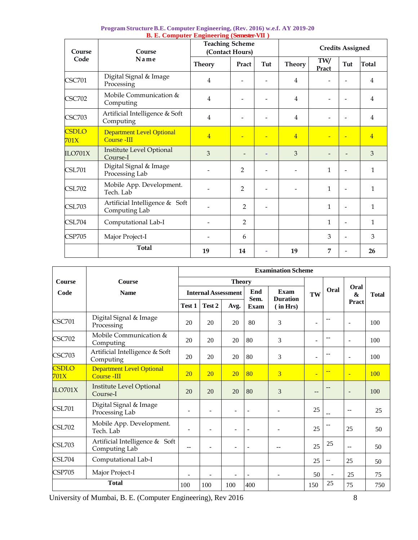| Course               | Course                                                 | <b>Teaching Scheme</b> | (Contact Hours) | <b>Credits Assigned</b> |                          |              |     |                |
|----------------------|--------------------------------------------------------|------------------------|-----------------|-------------------------|--------------------------|--------------|-----|----------------|
| Code                 | Name                                                   | <b>Theory</b>          | Pract           | Tut                     | <b>Theory</b>            | TW/<br>Pract | Tut | <b>Total</b>   |
| <b>CSC701</b>        | Digital Signal & Image<br>Processing                   | $\overline{4}$         |                 |                         | $\overline{4}$           |              |     | 4              |
| <b>CSC702</b>        | Mobile Communication &<br>Computing                    | $\overline{4}$         |                 |                         | $\overline{4}$           |              |     | $\overline{4}$ |
| <b>CSC703</b>        | Artificial Intelligence & Soft<br>Computing            | $\overline{4}$         |                 |                         | $\overline{4}$           |              |     | 4              |
| <b>CSDLO</b><br>701X | <b>Department Level Optional</b><br><b>Course -III</b> | $\overline{4}$         |                 |                         | $\overline{4}$           |              |     | $\overline{4}$ |
| ILO701X              | <b>Institute Level Optional</b><br>Course-I            | 3                      |                 |                         | 3                        |              |     | 3              |
| <b>CSL701</b>        | Digital Signal & Image<br>Processing Lab               |                        | $\overline{2}$  |                         | $\overline{\phantom{a}}$ | $\mathbf{1}$ |     | $\mathbf{1}$   |
| <b>CSL702</b>        | Mobile App. Development.<br>Tech. Lab                  |                        | 2               |                         |                          | $\mathbf{1}$ |     | $\mathbf{1}$   |
| <b>CSL703</b>        | Artificial Intelligence & Soft<br>Computing Lab        |                        | $\overline{2}$  |                         |                          | 1            |     | $\mathbf{1}$   |
| <b>CSL704</b>        | Computational Lab-I                                    |                        | $\overline{2}$  |                         |                          | 1            |     | $\mathbf{1}$   |
| <b>CSP705</b>        | Major Project-I                                        |                        | 6               |                         |                          | 3            |     | 3              |
|                      | <b>Total</b>                                           | 19                     | 14              |                         | 19                       | 7            |     | 26             |

| Program Structure B.E. Computer Engineering, (Rev. 2016) w.e.f. AY 2019-20 |
|----------------------------------------------------------------------------|
| <b>B. E. Computer Engineering (Semester-VII)</b>                           |

|                      |                                                        |                          |                            |                          |                          | <b>Examination Scheme</b>      |                          |                          |                          |              |
|----------------------|--------------------------------------------------------|--------------------------|----------------------------|--------------------------|--------------------------|--------------------------------|--------------------------|--------------------------|--------------------------|--------------|
| <b>Course</b>        | <b>Course</b>                                          |                          |                            | <b>Theory</b>            |                          |                                |                          |                          |                          | <b>Total</b> |
| Code                 | <b>Name</b>                                            |                          | <b>Internal Assessment</b> |                          | End<br>Sem.              | <b>Exam</b><br><b>Duration</b> | TW                       | Oral                     | Oral<br>&<br>Pract       |              |
|                      |                                                        | Test 1                   | Test 2                     | Avg.                     | Exam                     | (in Hrs)                       |                          |                          |                          |              |
| <b>CSC701</b>        | Digital Signal & Image<br>Processing                   | 20                       | 20                         | 20                       | 80                       | 3                              | $\blacksquare$           | $-$                      | $\blacksquare$           | 100          |
| <b>CSC702</b>        | Mobile Communication &<br>Computing                    | 20                       | 20                         | 20                       | 80                       | 3                              | $\blacksquare$           | $-$                      | $\blacksquare$           | 100          |
| <b>CSC703</b>        | Artificial Intelligence & Soft<br>Computing            | 20                       | 20                         | 20                       | 80                       | 3                              | $\overline{\phantom{a}}$ |                          | $\overline{\phantom{a}}$ | 100          |
| <b>CSDLO</b><br>701X | <b>Department Level Optional</b><br><b>Course -III</b> | 20                       | 20                         | 20                       | 80                       | $\overline{3}$                 | ÷                        | $-$                      | $\blacksquare$           | 100          |
| ILO701X              | Institute Level Optional<br>Course-I                   | 20                       | 20                         | 20                       | 80                       | 3                              | $-$                      |                          | $\overline{\phantom{a}}$ | 100          |
| <b>CSL701</b>        | Digital Signal & Image<br>Processing Lab               | $\overline{\phantom{a}}$ |                            | $\overline{\phantom{a}}$ | $\overline{\phantom{a}}$ |                                | 25                       | $-$                      | $-$                      | 25           |
| <b>CSL702</b>        | Mobile App. Development.<br>Tech. Lab                  |                          |                            | $\overline{\phantom{a}}$ | $\overline{a}$           |                                | 25                       |                          | 25                       | 50           |
| <b>CSL703</b>        | Artificial Intelligence & Soft<br>Computing Lab        | $-$                      | ۰                          | $\overline{\phantom{a}}$ | ٠                        |                                | 25                       | 25                       | $-$                      | 50           |
| <b>CSL704</b>        | Computational Lab-I                                    |                          |                            |                          |                          |                                | 25                       | $-$                      | 25                       | 50           |
| <b>CSP705</b>        | Major Project-I                                        | $\overline{\phantom{0}}$ |                            | ٠                        | $\overline{a}$           |                                | 50                       | $\overline{\phantom{a}}$ | 25                       | 75           |
|                      | <b>Total</b>                                           |                          | 100                        | 100                      | 400                      |                                | 150                      | 25                       | 75                       | 750          |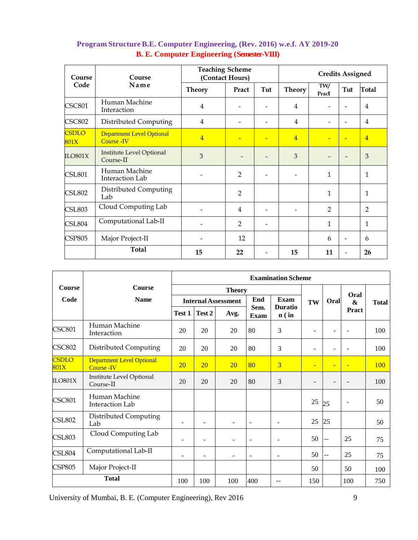| Course               | Course                                                | <b>Teaching Scheme</b> | (Contact Hours)          |     | <b>Credits Assigned</b>  |                |                          |                |  |
|----------------------|-------------------------------------------------------|------------------------|--------------------------|-----|--------------------------|----------------|--------------------------|----------------|--|
| Code                 | Name                                                  | <b>Theory</b>          | Pract                    | Tut | <b>Theory</b>            | TW/<br>Pract   | Tut                      | <b>Total</b>   |  |
| <b>CSC801</b>        | Human Machine<br>Interaction                          | 4                      | $\overline{a}$           |     | $\overline{4}$           |                |                          | 4              |  |
| <b>CSC802</b>        | Distributed Computing                                 | 4                      |                          |     | $\overline{4}$           |                |                          | $\overline{4}$ |  |
| <b>CSDLO</b><br>801X | <b>Department Level Optional</b><br><b>Course -IV</b> | $\overline{4}$         | $\overline{\phantom{0}}$ |     | $\overline{4}$           |                |                          | $\overline{4}$ |  |
| ILO801X              | Institute Level Optional<br>Course-II                 | 3                      | $\overline{\phantom{m}}$ |     | 3                        |                | $\overline{\phantom{0}}$ | 3              |  |
| <b>CSL801</b>        | Human Machine<br><b>Interaction Lab</b>               |                        | 2                        |     | $\overline{\phantom{0}}$ | 1              |                          | 1              |  |
| <b>CSL802</b>        | Distributed Computing<br>Lab                          |                        | $\overline{2}$           |     |                          | 1              |                          | 1              |  |
| <b>CSL803</b>        | Cloud Computing Lab                                   |                        | $\overline{4}$           |     |                          | $\overline{2}$ |                          | $\overline{2}$ |  |
| <b>CSL804</b>        | Computational Lab-II                                  |                        | $\overline{2}$           |     |                          | $\mathbf{1}$   |                          | 1              |  |
| <b>CSP805</b>        | Major Project-II                                      |                        | 12                       |     |                          | 6              | $\overline{\phantom{0}}$ | 6              |  |
|                      | <b>Total</b>                                          | 15                     | 22                       |     | 15                       | 11             |                          | 26             |  |

# **Program Structure B.E. Computer Engineering, (Rev. 2016) w.e.f. AY 2019-20 B. E. Computer Engineering (Semester-VIII)**

|                      |                                                 | <b>Examination Scheme</b> |                            |                |                |                           |                          |                          |                          |              |
|----------------------|-------------------------------------------------|---------------------------|----------------------------|----------------|----------------|---------------------------|--------------------------|--------------------------|--------------------------|--------------|
| <b>Course</b>        | <b>Course</b>                                   |                           | <b>Theory</b>              |                |                |                           |                          |                          | Oral                     |              |
| Code                 | <b>Name</b>                                     |                           | <b>Internal Assessment</b> |                |                | <b>Exam</b><br>End        |                          | Oral                     | &                        | <b>Total</b> |
|                      |                                                 | Test 1                    | Test 2                     | Avg.           | Sem.<br>Exam   | <b>Duratio</b><br>$n$ (in |                          |                          | Pract                    |              |
| <b>CSC801</b>        | Human Machine<br>Interaction                    | 20                        | 20                         | 20             | 80             | 3                         | $\blacksquare$           | $\blacksquare$           |                          | 100          |
| <b>CSC802</b>        | Distributed Computing                           | 20                        | 20                         | 20             | 80             | 3                         | ۰                        | ٠                        |                          | 100          |
| <b>CSDLO</b><br>801X | <b>Department Level Optional</b><br>Course - IV | 20                        | 20                         | 20             | 80             | $\overline{3}$            | Ξ                        | ٠                        | ÷                        | 100          |
| ILO801X              | Institute Level Optional<br>Course-II           | 20                        | 20                         | 20             | 80             | 3                         | $\overline{\phantom{0}}$ | $\overline{\phantom{a}}$ |                          | 100          |
| <b>CSC801</b>        | Human Machine<br>Interaction Lab                |                           |                            |                |                |                           | 25                       | 25                       | $\overline{\phantom{a}}$ | 50           |
| <b>CSL802</b>        | Distributed Computing<br>Lab                    | $\overline{\phantom{0}}$  | $\overline{\phantom{a}}$   | $\blacksquare$ | $\sim$         |                           | 25                       | 25                       |                          | 50           |
| <b>CSL803</b>        | Cloud Computing Lab                             | $\overline{\phantom{0}}$  | ÷.                         | $\blacksquare$ | $\sim$         |                           | 50                       | $\overline{a}$           | 25                       | 75           |
| <b>CSL804</b>        | Computational Lab-II                            | ۰                         | $\blacksquare$             | ٠              | $\blacksquare$ | ۰                         | 50                       | $-$                      | 25                       | 75           |
| <b>CSP805</b>        | Major Project-II                                |                           |                            |                |                |                           | 50                       |                          | 50                       | 100          |
|                      | 100                                             | 100                       | 100                        | 400            |                | 150                       |                          | 100                      | 750                      |              |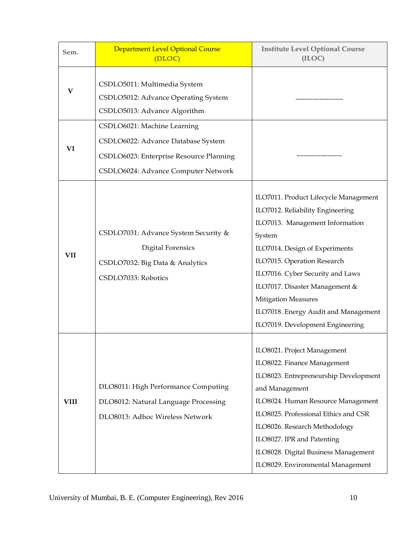| Sem.        | <b>Department Level Optional Course</b><br>(DLOC)                                                                                                   | <b>Institute Level Optional Course</b><br>(ILOC)                                                                                                                                                                                                                                                                                                                        |
|-------------|-----------------------------------------------------------------------------------------------------------------------------------------------------|-------------------------------------------------------------------------------------------------------------------------------------------------------------------------------------------------------------------------------------------------------------------------------------------------------------------------------------------------------------------------|
| V           | CSDLO5011: Multimedia System<br>CSDLO5012: Advance Operating System<br>CSDLO5013: Advance Algorithm                                                 |                                                                                                                                                                                                                                                                                                                                                                         |
| VI          | CSDLO6021: Machine Learning<br>CSDLO6022: Advance Database System<br>CSDLO6023: Enterprise Resource Planning<br>CSDLO6024: Advance Computer Network | -------------                                                                                                                                                                                                                                                                                                                                                           |
| VII         | CSDLO7031: Advance System Security &<br><b>Digital Forensics</b><br>CSDLO7032: Big Data & Analytics<br>CSDLO7033: Robotics                          | ILO7011. Product Lifecycle Management<br>ILO7012. Reliability Engineering<br>ILO7013. Management Information<br>System<br>ILO7014. Design of Experiments<br>ILO7015. Operation Research<br>ILO7016. Cyber Security and Laws<br>ILO7017. Disaster Management &<br><b>Mitigation Measures</b><br>ILO7018. Energy Audit and Management<br>ILO7019. Development Engineering |
| <b>VIII</b> | DLO8011: High Performance Computing<br>DLO8012: Natural Language Processing<br>DLO8013: Adhoc Wireless Network                                      | ILO8021. Project Management<br>ILO8022. Finance Management<br>ILO8023. Entrepreneurship Development<br>and Management<br>ILO8024. Human Resource Management<br>ILO8025. Professional Ethics and CSR<br>ILO8026. Research Methodology<br>ILO8027. IPR and Patenting<br>ILO8028. Digital Business Management<br>ILO8029. Environmental Management                         |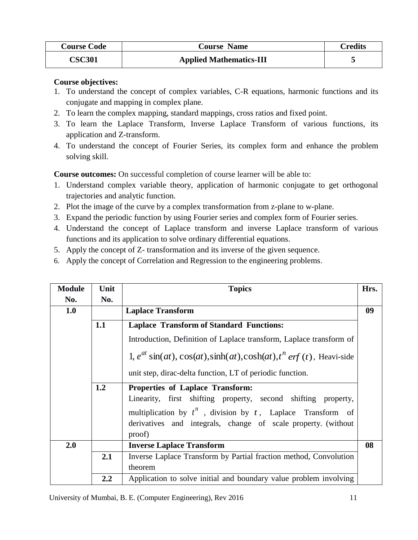| <b>Course Code</b> | <b>Course Name</b>             | <b>Credits</b> |
|--------------------|--------------------------------|----------------|
| <b>CSC301</b>      | <b>Applied Mathematics-III</b> |                |

## **Course objectives:**

- 1. To understand the concept of complex variables, C-R equations, harmonic functions and its conjugate and mapping in complex plane.
- 2. To learn the complex mapping, standard mappings, cross ratios and fixed point.
- 3. To learn the Laplace Transform, Inverse Laplace Transform of various functions, its application and Z-transform.
- 4. To understand the concept of Fourier Series, its complex form and enhance the problem solving skill.

**Course outcomes:** On successful completion of course learner will be able to:

- 1. Understand complex variable theory, application of harmonic conjugate to get orthogonal trajectories and analytic function.
- 2. Plot the image of the curve by a complex transformation from z-plane to w-plane.
- 3. Expand the periodic function by using Fourier series and complex form of Fourier series.
- 4. Understand the concept of Laplace transform and inverse Laplace transform of various functions and its application to solve ordinary differential equations.
- 5. Apply the concept of Z- transformation and its inverse of the given sequence.
- 6. Apply the concept of Correlation and Regression to the engineering problems.

| <b>Module</b> | Unit | <b>Topics</b>                                                                                                                     | Hrs. |  |  |  |  |
|---------------|------|-----------------------------------------------------------------------------------------------------------------------------------|------|--|--|--|--|
| No.           | No.  |                                                                                                                                   |      |  |  |  |  |
| 1.0           |      | <b>Laplace Transform</b>                                                                                                          | 09   |  |  |  |  |
|               | 1.1  | <b>Laplace Transform of Standard Functions:</b>                                                                                   |      |  |  |  |  |
|               |      | Introduction, Definition of Laplace transform, Laplace transform of                                                               |      |  |  |  |  |
|               |      | 1, $e^{at}$ sin(at), $\cos(at)$ , sinh(at), $\cosh(at)$ , $t^n$ erf (t), Heavi-side                                               |      |  |  |  |  |
|               |      | unit step, dirac-delta function, LT of periodic function.                                                                         |      |  |  |  |  |
|               | 1.2  | <b>Properties of Laplace Transform:</b><br>Linearity, first shifting property, second shifting property,                          |      |  |  |  |  |
|               |      | multiplication by $t^n$ , division by $t$ , Laplace Transform of<br>derivatives and integrals, change of scale property. (without |      |  |  |  |  |
|               |      | proof)                                                                                                                            |      |  |  |  |  |
| 2.0           |      | <b>Inverse Laplace Transform</b>                                                                                                  | 08   |  |  |  |  |
|               | 2.1  | Inverse Laplace Transform by Partial fraction method, Convolution                                                                 |      |  |  |  |  |
|               |      | theorem                                                                                                                           |      |  |  |  |  |
|               | 2.2  | Application to solve initial and boundary value problem involving                                                                 |      |  |  |  |  |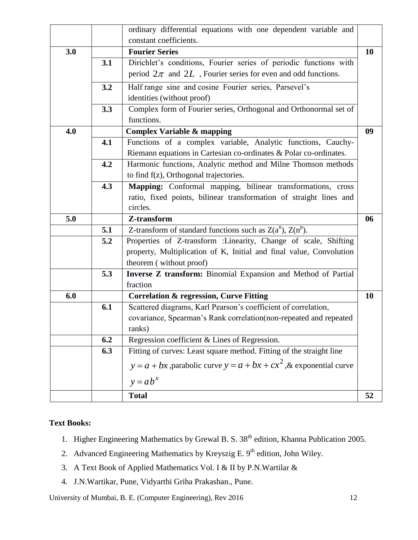|     |     | ordinary differential equations with one dependent variable and          |    |
|-----|-----|--------------------------------------------------------------------------|----|
|     |     | constant coefficients.                                                   |    |
| 3.0 |     | <b>Fourier Series</b>                                                    | 10 |
|     | 3.1 | Dirichlet's conditions, Fourier series of periodic functions with        |    |
|     |     | period $2\pi$ and $2L$ , Fourier series for even and odd functions.      |    |
|     | 3.2 | Half range sine and cosine Fourier series, Parsevel's                    |    |
|     |     | identities (without proof)                                               |    |
|     | 3.3 | Complex form of Fourier series, Orthogonal and Orthonormal set of        |    |
|     |     | functions.                                                               |    |
| 4.0 |     | <b>Complex Variable &amp; mapping</b>                                    | 09 |
|     | 4.1 | Functions of a complex variable, Analytic functions, Cauchy-             |    |
|     |     | Riemann equations in Cartesian co-ordinates & Polar co-ordinates.        |    |
|     | 4.2 | Harmonic functions, Analytic method and Milne Thomson methods            |    |
|     |     | to find f(z), Orthogonal trajectories.                                   |    |
|     | 4.3 | Mapping: Conformal mapping, bilinear transformations, cross              |    |
|     |     | ratio, fixed points, bilinear transformation of straight lines and       |    |
|     |     | circles.                                                                 |    |
| 5.0 |     | Z-transform                                                              | 06 |
|     | 5.1 | Z-transform of standard functions such as $Z(a^n)$ , $Z(n^p)$ .          |    |
|     | 5.2 | Properties of Z-transform : Linearity, Change of scale, Shifting         |    |
|     |     | property, Multiplication of K, Initial and final value, Convolution      |    |
|     |     | theorem (without proof)                                                  |    |
|     | 5.3 | Inverse Z transform: Binomial Expansion and Method of Partial            |    |
|     |     | fraction                                                                 |    |
| 6.0 |     | <b>Correlation &amp; regression, Curve Fitting</b>                       | 10 |
|     | 6.1 | Scattered diagrams, Karl Pearson's coefficient of correlation,           |    |
|     |     | covariance, Spearman's Rank correlation(non-repeated and repeated        |    |
|     |     |                                                                          |    |
|     |     | ranks)                                                                   |    |
|     | 6.2 | Regression coefficient & Lines of Regression.                            |    |
|     | 6.3 | Fitting of curves: Least square method. Fitting of the straight line     |    |
|     |     | $y = a + bx$ , parabolic curve $y = a + bx + cx^2$ , & exponential curve |    |
|     |     | $y = ab^x$                                                               |    |

# **Text Books:**

- 1. Higher Engineering Mathematics by Grewal B. S. 38<sup>th</sup> edition, Khanna Publication 2005.
- 2. Advanced Engineering Mathematics by Kreyszig E.  $9<sup>th</sup>$  edition, John Wiley.
- 3. A Text Book of Applied Mathematics Vol. I & II by P.N.Wartilar &
- 4. J.N.Wartikar, Pune, Vidyarthi Griha Prakashan., Pune.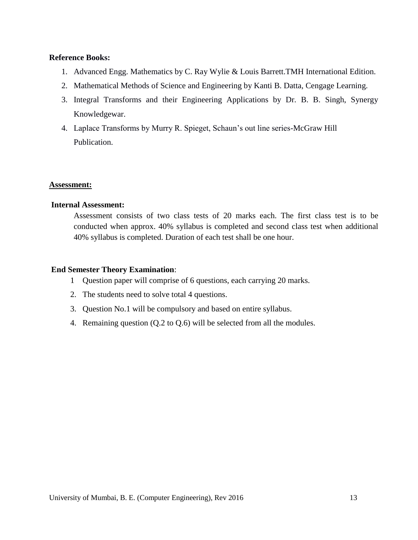#### **Reference Books:**

- 1. Advanced Engg. Mathematics by C. Ray Wylie & Louis Barrett.TMH International Edition.
- 2. Mathematical Methods of Science and Engineering by Kanti B. Datta, Cengage Learning.
- 3. Integral Transforms and their Engineering Applications by Dr. B. B. Singh, Synergy Knowledgewar.
- 4. Laplace Transforms by Murry R. Spieget, Schaun"s out line series-McGraw Hill Publication.

#### **Assessment:**

#### **Internal Assessment:**

Assessment consists of two class tests of 20 marks each. The first class test is to be conducted when approx. 40% syllabus is completed and second class test when additional 40% syllabus is completed. Duration of each test shall be one hour.

#### **End Semester Theory Examination**:

- 1 Question paper will comprise of 6 questions, each carrying 20 marks.
- 2. The students need to solve total 4 questions.
- 3. Question No.1 will be compulsory and based on entire syllabus.
- 4. Remaining question (Q.2 to Q.6) will be selected from all the modules.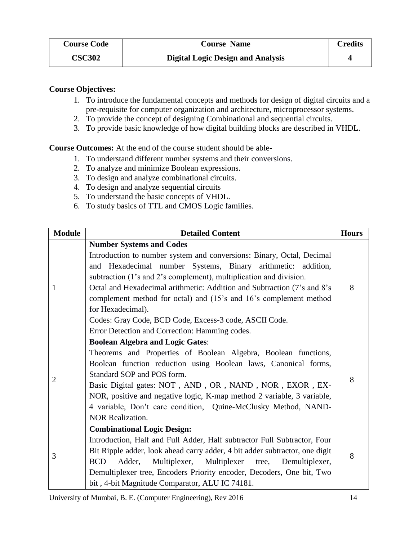| <b>Course Code</b> | <b>Course Name</b>                       | <b>Credits</b> |
|--------------------|------------------------------------------|----------------|
| <b>CSC302</b>      | <b>Digital Logic Design and Analysis</b> |                |

## **Course Objectives:**

- 1. To introduce the fundamental concepts and methods for design of digital circuits and a pre-requisite for computer organization and architecture, microprocessor systems.
- 2. To provide the concept of designing Combinational and sequential circuits.
- 3. To provide basic knowledge of how digital building blocks are described in VHDL.

**Course Outcomes:** At the end of the course student should be able-

- 1. To understand different number systems and their conversions.
- 2. To analyze and minimize Boolean expressions.
- 3. To design and analyze combinational circuits.
- 4. To design and analyze sequential circuits
- 5. To understand the basic concepts of VHDL.
- 6. To study basics of TTL and CMOS Logic families.

| <b>Module</b>  | <b>Detailed Content</b>                                                     |   |  |  |  |
|----------------|-----------------------------------------------------------------------------|---|--|--|--|
|                | <b>Number Systems and Codes</b>                                             |   |  |  |  |
|                | Introduction to number system and conversions: Binary, Octal, Decimal       |   |  |  |  |
| 1              | and Hexadecimal number Systems, Binary arithmetic: addition,                |   |  |  |  |
|                | subtraction (1's and 2's complement), multiplication and division.          |   |  |  |  |
|                | Octal and Hexadecimal arithmetic: Addition and Subtraction (7's and 8's     | 8 |  |  |  |
|                | complement method for octal) and (15's and 16's complement method           |   |  |  |  |
|                | for Hexadecimal).                                                           |   |  |  |  |
|                | Codes: Gray Code, BCD Code, Excess-3 code, ASCII Code.                      |   |  |  |  |
|                | Error Detection and Correction: Hamming codes.                              |   |  |  |  |
|                | <b>Boolean Algebra and Logic Gates:</b>                                     |   |  |  |  |
|                | Theorems and Properties of Boolean Algebra, Boolean functions,              |   |  |  |  |
|                | Boolean function reduction using Boolean laws, Canonical forms,             |   |  |  |  |
| $\overline{2}$ | Standard SOP and POS form.                                                  | 8 |  |  |  |
|                | Basic Digital gates: NOT, AND, OR, NAND, NOR, EXOR, EX-                     |   |  |  |  |
|                | NOR, positive and negative logic, K-map method 2 variable, 3 variable,      |   |  |  |  |
|                | 4 variable, Don't care condition, Quine-McClusky Method, NAND-              |   |  |  |  |
|                | <b>NOR Realization.</b>                                                     |   |  |  |  |
|                | <b>Combinational Logic Design:</b>                                          |   |  |  |  |
|                | Introduction, Half and Full Adder, Half subtractor Full Subtractor, Four    |   |  |  |  |
| 3              | Bit Ripple adder, look ahead carry adder, 4 bit adder subtractor, one digit | 8 |  |  |  |
|                | <b>BCD</b><br>Multiplexer, Multiplexer tree, Demultiplexer,<br>Adder,       |   |  |  |  |
|                | Demultiplexer tree, Encoders Priority encoder, Decoders, One bit, Two       |   |  |  |  |
|                | bit, 4-bit Magnitude Comparator, ALU IC 74181.                              |   |  |  |  |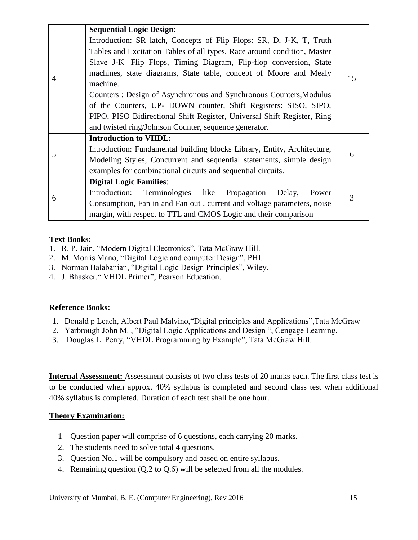|                | <b>Sequential Logic Design:</b>                                          |    |  |  |
|----------------|--------------------------------------------------------------------------|----|--|--|
|                | Introduction: SR latch, Concepts of Flip Flops: SR, D, J-K, T, Truth     |    |  |  |
|                | Tables and Excitation Tables of all types, Race around condition, Master |    |  |  |
|                | Slave J-K Flip Flops, Timing Diagram, Flip-flop conversion, State        |    |  |  |
| $\overline{4}$ | machines, state diagrams, State table, concept of Moore and Mealy        | 15 |  |  |
|                | machine.                                                                 |    |  |  |
|                | Counters: Design of Asynchronous and Synchronous Counters, Modulus       |    |  |  |
|                | of the Counters, UP- DOWN counter, Shift Registers: SISO, SIPO,          |    |  |  |
|                | PIPO, PISO Bidirectional Shift Register, Universal Shift Register, Ring  |    |  |  |
|                | and twisted ring/Johnson Counter, sequence generator.                    |    |  |  |
|                | <b>Introduction to VHDL:</b>                                             |    |  |  |
| 5              | Introduction: Fundamental building blocks Library, Entity, Architecture, |    |  |  |
|                | Modeling Styles, Concurrent and sequential statements, simple design     |    |  |  |
|                | examples for combinational circuits and sequential circuits.             |    |  |  |
|                | <b>Digital Logic Families:</b>                                           |    |  |  |
| 6              | Introduction: Terminologies like Propagation Delay,<br>Power             | 3  |  |  |
|                | Consumption, Fan in and Fan out, current and voltage parameters, noise   |    |  |  |
|                | margin, with respect to TTL and CMOS Logic and their comparison          |    |  |  |

#### **Text Books:**

- 1. R. P. Jain, "Modern Digital Electronics", Tata McGraw Hill.
- 2. M. Morris Mano, "Digital Logic and computer Design", PHI.
- 3. Norman Balabanian, "Digital Logic Design Principles", Wiley.
- 4. J. Bhasker." VHDL Primer", Pearson Education.

#### **Reference Books:**

- 1. Donald p Leach, Albert Paul Malvino,"Digital principles and Applications",Tata McGraw
- 2. Yarbrough John M. , "Digital Logic Applications and Design ", Cengage Learning.
- 3. Douglas L. Perry, "VHDL Programming by Example", Tata McGraw Hill.

**Internal Assessment:** Assessment consists of two class tests of 20 marks each. The first class test is to be conducted when approx. 40% syllabus is completed and second class test when additional 40% syllabus is completed. Duration of each test shall be one hour.

#### **Theory Examination:**

- 1 Question paper will comprise of 6 questions, each carrying 20 marks.
- 2. The students need to solve total 4 questions.
- 3. Question No.1 will be compulsory and based on entire syllabus.
- 4. Remaining question (Q.2 to Q.6) will be selected from all the modules.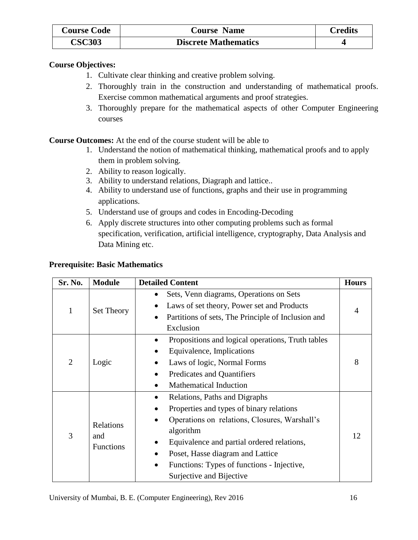| <b>Course Code</b> | <b>Course Name</b>          | Credits |
|--------------------|-----------------------------|---------|
| <b>CSC303</b>      | <b>Discrete Mathematics</b> |         |

## **Course Objectives:**

- 1. Cultivate clear thinking and creative problem solving.
- 2. Thoroughly train in the construction and understanding of mathematical proofs. Exercise common mathematical arguments and proof strategies.
- 3. Thoroughly prepare for the mathematical aspects of other Computer Engineering courses

**Course Outcomes:** At the end of the course student will be able to

- 1. Understand the notion of mathematical thinking, mathematical proofs and to apply them in problem solving.
- 2. Ability to reason logically.
- 3. Ability to understand relations, Diagraph and lattice..
- 4. Ability to understand use of functions, graphs and their use in programming applications.
- 5. Understand use of groups and codes in Encoding-Decoding
- 6. Apply discrete structures into other computing problems such as formal specification, verification, artificial intelligence, cryptography, Data Analysis and Data Mining etc.

## **Prerequisite: Basic Mathematics**

| Sr. No.        | <b>Module</b>                        | <b>Detailed Content</b>                                                                                                                                                                                                                                                                                                            | <b>Hours</b> |
|----------------|--------------------------------------|------------------------------------------------------------------------------------------------------------------------------------------------------------------------------------------------------------------------------------------------------------------------------------------------------------------------------------|--------------|
| $\mathbf{1}$   | Set Theory                           | Sets, Venn diagrams, Operations on Sets<br>$\bullet$<br>Laws of set theory, Power set and Products<br>$\bullet$<br>Partitions of sets, The Principle of Inclusion and<br>$\bullet$                                                                                                                                                 |              |
|                |                                      | Exclusion                                                                                                                                                                                                                                                                                                                          |              |
| $\overline{2}$ | Logic                                | Propositions and logical operations, Truth tables<br>$\bullet$<br>Equivalence, Implications<br>Laws of logic, Normal Forms<br>Predicates and Quantifiers<br>$\bullet$<br><b>Mathematical Induction</b><br>$\bullet$                                                                                                                | 8            |
| 3              | Relations<br>and<br><b>Functions</b> | Relations, Paths and Digraphs<br>٠<br>Properties and types of binary relations<br>$\bullet$<br>Operations on relations, Closures, Warshall's<br>algorithm<br>Equivalence and partial ordered relations,<br>Poset, Hasse diagram and Lattice<br>Functions: Types of functions - Injective,<br>$\bullet$<br>Surjective and Bijective | 12           |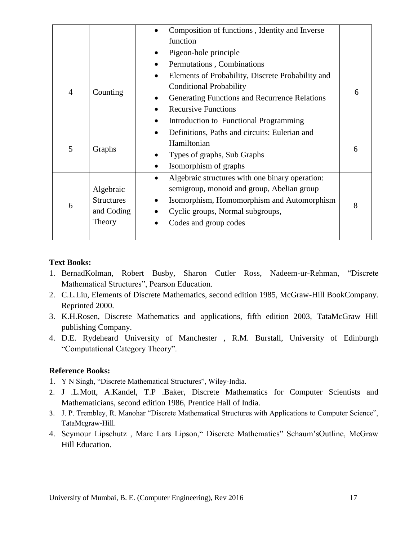|                |                   | Composition of functions, Identity and Inverse               |                             |
|----------------|-------------------|--------------------------------------------------------------|-----------------------------|
|                |                   | function                                                     |                             |
|                |                   | Pigeon-hole principle                                        |                             |
|                |                   | Permutations, Combinations<br>$\bullet$                      |                             |
|                |                   | Elements of Probability, Discrete Probability and            |                             |
|                |                   | <b>Conditional Probability</b>                               |                             |
| $\overline{4}$ | Counting          | Generating Functions and Recurrence Relations                | 6                           |
|                |                   | <b>Recursive Functions</b>                                   |                             |
|                |                   | Introduction to Functional Programming                       |                             |
|                |                   | Definitions, Paths and circuits: Eulerian and<br>$\bullet$   |                             |
| 5              | Graphs            | Hamiltonian                                                  |                             |
|                |                   |                                                              | Types of graphs, Sub Graphs |
|                |                   | Isomorphism of graphs                                        |                             |
|                |                   | Algebraic structures with one binary operation:<br>$\bullet$ |                             |
|                | Algebraic         | semigroup, monoid and group, Abelian group                   |                             |
|                | <b>Structures</b> | Isomorphism, Homomorphism and Automorphism                   | 8                           |
| 6              | and Coding        | Cyclic groups, Normal subgroups,                             |                             |
|                | Theory            | Codes and group codes                                        |                             |
|                |                   |                                                              |                             |

## **Text Books:**

- 1. BernadKolman, Robert Busby, Sharon Cutler Ross, Nadeem-ur-Rehman, "Discrete Mathematical Structures", Pearson Education.
- 2. C.L.Liu, Elements of Discrete Mathematics, second edition 1985, McGraw-Hill BookCompany. Reprinted 2000.
- 3. K.H.Rosen, Discrete Mathematics and applications, fifth edition 2003, TataMcGraw Hill publishing Company.
- 4. D.E. Rydeheard University of Manchester , R.M. Burstall, University of Edinburgh "Computational Category Theory".

## **Reference Books:**

- 1. Y N Singh, "Discrete Mathematical Structures", Wiley-India.
- 2. J .L.Mott, A.Kandel, T.P .Baker, Discrete Mathematics for Computer Scientists and Mathematicians, second edition 1986, Prentice Hall of India.
- 3. J. P. Trembley, R. Manohar "Discrete Mathematical Structures with Applications to Computer Science", TataMcgraw-Hill.
- 4. Seymour Lipschutz , Marc Lars Lipson," Discrete Mathematics" Schaum"sOutline, McGraw Hill Education.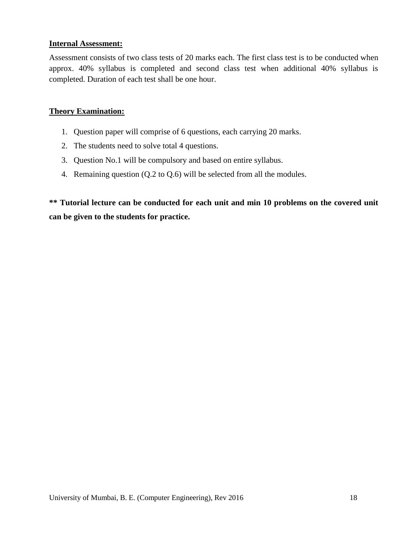## **Internal Assessment:**

Assessment consists of two class tests of 20 marks each. The first class test is to be conducted when approx. 40% syllabus is completed and second class test when additional 40% syllabus is completed. Duration of each test shall be one hour.

## **Theory Examination:**

- 1. Question paper will comprise of 6 questions, each carrying 20 marks.
- 2. The students need to solve total 4 questions.
- 3. Question No.1 will be compulsory and based on entire syllabus.
- 4. Remaining question (Q.2 to Q.6) will be selected from all the modules.

**\*\* Tutorial lecture can be conducted for each unit and min 10 problems on the covered unit can be given to the students for practice.**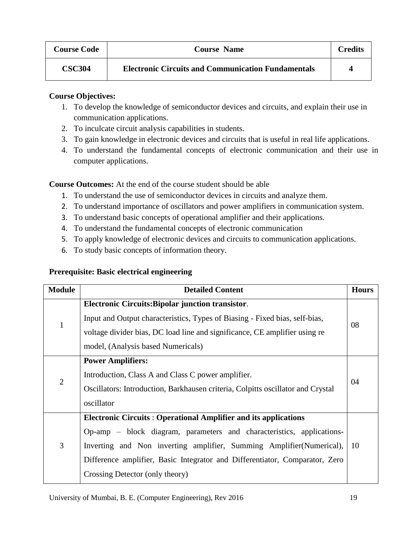| <b>Course Code</b> | <b>Course Name</b>                                        | <b>Credits</b> |
|--------------------|-----------------------------------------------------------|----------------|
| <b>CSC304</b>      | <b>Electronic Circuits and Communication Fundamentals</b> | Δ              |

## **Course Objectives:**

- 1. To develop the knowledge of semiconductor devices and circuits, and explain their use in communication applications.
- 2. To inculcate circuit analysis capabilities in students.
- 3. To gain knowledge in electronic devices and circuits that is useful in real life applications.
- 4. To understand the fundamental concepts of electronic communication and their use in computer applications.

**Course Outcomes:** At the end of the course student should be able

- 1. To understand the use of semiconductor devices in circuits and analyze them.
- 2. To understand importance of oscillators and power amplifiers in communication system.
- 3. To understand basic concepts of operational amplifier and their applications.
- 4. To understand the fundamental concepts of electronic communication
- 5. To apply knowledge of electronic devices and circuits to communication applications.
- 6. To study basic concepts of information theory.

## **Prerequisite: Basic electrical engineering**

| <b>Module</b>  | <b>Detailed Content</b>                                                                                                                                                                                                                                                                                                                    | <b>Hours</b> |
|----------------|--------------------------------------------------------------------------------------------------------------------------------------------------------------------------------------------------------------------------------------------------------------------------------------------------------------------------------------------|--------------|
| $\mathbf{1}$   | <b>Electronic Circuits: Bipolar junction transistor.</b><br>Input and Output characteristics, Types of Biasing - Fixed bias, self-bias,<br>voltage divider bias, DC load line and significance, CE amplifier using re<br>model, (Analysis based Numericals)                                                                                | 08           |
| $\overline{2}$ | <b>Power Amplifiers:</b><br>Introduction, Class A and Class C power amplifier.<br>Oscillators: Introduction, Barkhausen criteria, Colpitts oscillator and Crystal<br>oscillator                                                                                                                                                            | 04           |
| 3              | <b>Electronic Circuits: Operational Amplifier and its applications</b><br>Op-amp – block diagram, parameters and characteristics, applications-<br>Inverting and Non inverting amplifier, Summing Amplifier (Numerical),<br>Difference amplifier, Basic Integrator and Differentiator, Comparator, Zero<br>Crossing Detector (only theory) | 10           |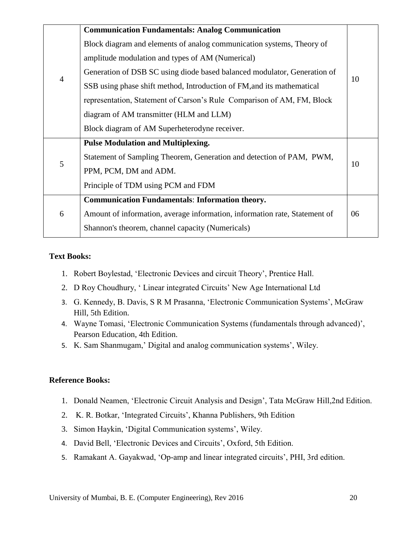|                | <b>Communication Fundamentals: Analog Communication</b>                    |    |
|----------------|----------------------------------------------------------------------------|----|
|                | Block diagram and elements of analog communication systems, Theory of      |    |
|                | amplitude modulation and types of AM (Numerical)                           |    |
|                | Generation of DSB SC using diode based balanced modulator, Generation of   |    |
| $\overline{4}$ | SSB using phase shift method, Introduction of FM, and its mathematical     | 10 |
|                | representation, Statement of Carson's Rule Comparison of AM, FM, Block     |    |
|                | diagram of AM transmitter (HLM and LLM)                                    |    |
|                | Block diagram of AM Superheterodyne receiver.                              |    |
|                | <b>Pulse Modulation and Multiplexing.</b>                                  |    |
|                | Statement of Sampling Theorem, Generation and detection of PAM, PWM,       |    |
| 5              | PPM, PCM, DM and ADM.                                                      | 10 |
|                | Principle of TDM using PCM and FDM                                         |    |
| 6              | <b>Communication Fundamentals: Information theory.</b>                     |    |
|                | Amount of information, average information, information rate, Statement of | 06 |
|                | Shannon's theorem, channel capacity (Numericals)                           |    |
|                |                                                                            |    |

## **Text Books:**

- 1. Robert Boylestad, "Electronic Devices and circuit Theory", Prentice Hall.
- 2. D Roy Choudhury, 'Linear integrated Circuits' New Age International Ltd
- 3. G. Kennedy, B. Davis, S R M Prasanna, "Electronic Communication Systems", McGraw Hill, 5th Edition.
- 4. Wayne Tomasi, "Electronic Communication Systems (fundamentals through advanced)", Pearson Education, 4th Edition.
- 5. K. Sam Shanmugam,' Digital and analog communication systems', Wiley.

#### **Reference Books:**

- 1. Donald Neamen, "Electronic Circuit Analysis and Design", Tata McGraw Hill,2nd Edition.
- 2. K. R. Botkar, "Integrated Circuits", Khanna Publishers, 9th Edition
- 3. Simon Haykin, "Digital Communication systems", Wiley.
- 4. David Bell, "Electronic Devices and Circuits", Oxford, 5th Edition.
- 5. Ramakant A. Gayakwad, "Op-amp and linear integrated circuits", PHI, 3rd edition.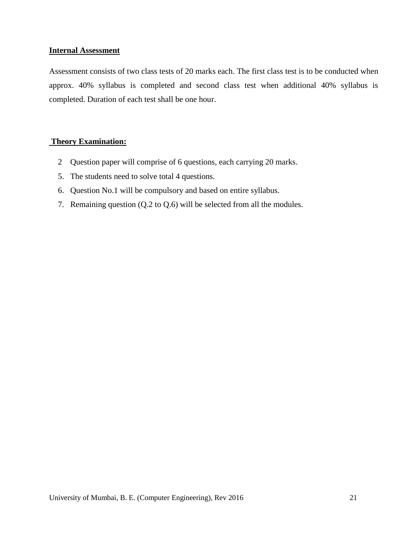#### **Internal Assessment**

Assessment consists of two class tests of 20 marks each. The first class test is to be conducted when approx. 40% syllabus is completed and second class test when additional 40% syllabus is completed. Duration of each test shall be one hour.

## **Theory Examination:**

- 2 Question paper will comprise of 6 questions, each carrying 20 marks.
- 5. The students need to solve total 4 questions.
- 6. Question No.1 will be compulsory and based on entire syllabus.
- 7. Remaining question (Q.2 to Q.6) will be selected from all the modules.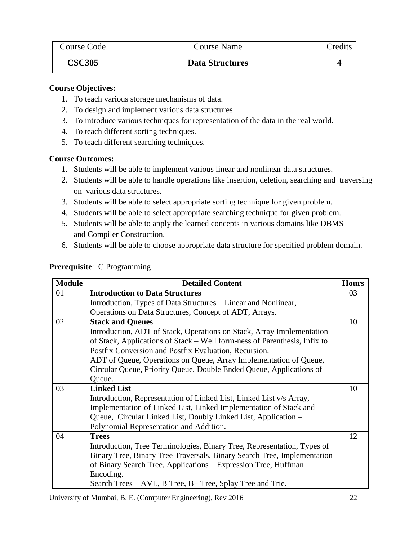| Course Code   | Course Name            | Credits |
|---------------|------------------------|---------|
| <b>CSC305</b> | <b>Data Structures</b> |         |

#### **Course Objectives:**

- 1. To teach various storage mechanisms of data.
- 2. To design and implement various data structures.
- 3. To introduce various techniques for representation of the data in the real world.
- 4. To teach different sorting techniques.
- 5. To teach different searching techniques.

## **Course Outcomes:**

- 1. Students will be able to implement various linear and nonlinear data structures.
- 2. Students will be able to handle operations like insertion, deletion, searching and traversing on various data structures.
- 3. Students will be able to select appropriate sorting technique for given problem.
- 4. Students will be able to select appropriate searching technique for given problem.
- 5. Students will be able to apply the learned concepts in various domains like DBMS and Compiler Construction.
- 6. Students will be able to choose appropriate data structure for specified problem domain.

| <b>Module</b> | <b>Detailed Content</b>                                                   | <b>Hours</b> |
|---------------|---------------------------------------------------------------------------|--------------|
| 01            | <b>Introduction to Data Structures</b>                                    | 03           |
|               | Introduction, Types of Data Structures – Linear and Nonlinear,            |              |
|               | Operations on Data Structures, Concept of ADT, Arrays.                    |              |
| 02            | <b>Stack and Queues</b>                                                   | 10           |
|               | Introduction, ADT of Stack, Operations on Stack, Array Implementation     |              |
|               | of Stack, Applications of Stack – Well form-ness of Parenthesis, Infix to |              |
|               | Postfix Conversion and Postfix Evaluation, Recursion.                     |              |
|               | ADT of Queue, Operations on Queue, Array Implementation of Queue,         |              |
|               | Circular Queue, Priority Queue, Double Ended Queue, Applications of       |              |
|               | Queue.                                                                    |              |
| 03            | <b>Linked List</b>                                                        | 10           |
|               | Introduction, Representation of Linked List, Linked List v/s Array,       |              |
|               | Implementation of Linked List, Linked Implementation of Stack and         |              |
|               | Queue, Circular Linked List, Doubly Linked List, Application -            |              |
|               | Polynomial Representation and Addition.                                   |              |
| 04            | <b>Trees</b>                                                              | 12           |
|               | Introduction, Tree Terminologies, Binary Tree, Representation, Types of   |              |
|               | Binary Tree, Binary Tree Traversals, Binary Search Tree, Implementation   |              |
|               | of Binary Search Tree, Applications – Expression Tree, Huffman            |              |
|               | Encoding.                                                                 |              |
|               | Search Trees – AVL, B Tree, B+ Tree, Splay Tree and Trie.                 |              |

# **Prerequisite**: C Programming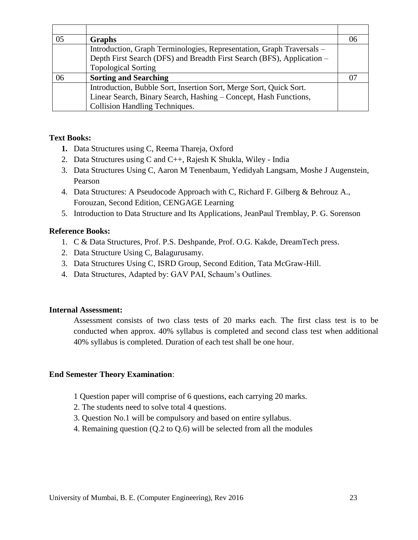| 05 | <b>Graphs</b>                                                          |  |
|----|------------------------------------------------------------------------|--|
|    | Introduction, Graph Terminologies, Representation, Graph Traversals -  |  |
|    | Depth First Search (DFS) and Breadth First Search (BFS), Application – |  |
|    | <b>Topological Sorting</b>                                             |  |
| 06 | <b>Sorting and Searching</b>                                           |  |
|    | Introduction, Bubble Sort, Insertion Sort, Merge Sort, Quick Sort.     |  |
|    | Linear Search, Binary Search, Hashing - Concept, Hash Functions,       |  |
|    | <b>Collision Handling Techniques.</b>                                  |  |

## **Text Books:**

- **1.** Data Structures using C, Reema Thareja, Oxford
- 2. Data Structures using C and C++, Rajesh K Shukla, Wiley India
- 3. Data Structures Using C, Aaron M Tenenbaum, Yedidyah Langsam, Moshe J Augenstein, Pearson
- 4. Data Structures: A Pseudocode Approach with C, Richard F. Gilberg & Behrouz A., Forouzan, Second Edition, CENGAGE Learning
- 5. Introduction to Data Structure and Its Applications, JeanPaul Tremblay, P. G. Sorenson

#### **Reference Books:**

- 1. C & Data Structures, Prof. P.S. Deshpande, Prof. O.G. Kakde, DreamTech press.
- 2. Data Structure Using C, Balagurusamy.
- 3. Data Structures Using C, ISRD Group, Second Edition, Tata McGraw-Hill.
- 4. Data Structures, Adapted by: GAV PAI, Schaum"s Outlines.

#### **Internal Assessment:**

Assessment consists of two class tests of 20 marks each. The first class test is to be conducted when approx. 40% syllabus is completed and second class test when additional 40% syllabus is completed. Duration of each test shall be one hour.

#### **End Semester Theory Examination**:

- 1 Question paper will comprise of 6 questions, each carrying 20 marks.
- 2. The students need to solve total 4 questions.
- 3. Question No.1 will be compulsory and based on entire syllabus.
- 4. Remaining question (Q.2 to Q.6) will be selected from all the modules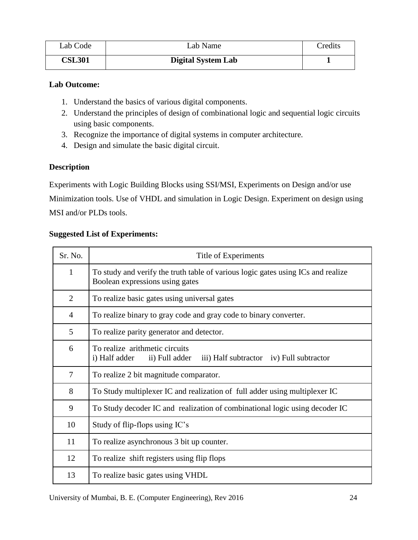| Lab Code      | Lab Name                  | Credits |
|---------------|---------------------------|---------|
| <b>CSL301</b> | <b>Digital System Lab</b> |         |

#### **Lab Outcome:**

- 1. Understand the basics of various digital components.
- 2. Understand the principles of design of combinational logic and sequential logic circuits using basic components.
- 3. Recognize the importance of digital systems in computer architecture.
- 4. Design and simulate the basic digital circuit.

## **Description**

Experiments with Logic Building Blocks using SSI/MSI, Experiments on Design and/or use Minimization tools. Use of VHDL and simulation in Logic Design. Experiment on design using

MSI and/or PLDs tools.

## **Suggested List of Experiments:**

| Sr. No.        | Title of Experiments                                                                                                |
|----------------|---------------------------------------------------------------------------------------------------------------------|
| $\mathbf{1}$   | To study and verify the truth table of various logic gates using ICs and realize<br>Boolean expressions using gates |
| $\overline{2}$ | To realize basic gates using universal gates                                                                        |
| $\overline{4}$ | To realize binary to gray code and gray code to binary converter.                                                   |
| 5              | To realize parity generator and detector.                                                                           |
| 6              | To realize arithmetic circuits<br>i) Half adder<br>ii) Full adder<br>iii) Half subtractor iv) Full subtractor       |
| 7              | To realize 2 bit magnitude comparator.                                                                              |
| 8              | To Study multiplexer IC and realization of full adder using multiplexer IC                                          |
| 9              | To Study decoder IC and realization of combinational logic using decoder IC                                         |
| 10             | Study of flip-flops using IC's                                                                                      |
| 11             | To realize asynchronous 3 bit up counter.                                                                           |
| 12             | To realize shift registers using flip flops                                                                         |
| 13             | To realize basic gates using VHDL                                                                                   |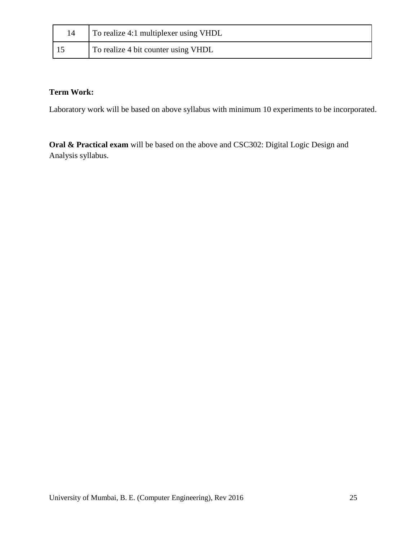| To realize 4:1 multiplexer using VHDL |
|---------------------------------------|
| To realize 4 bit counter using VHDL   |

# **Term Work:**

Laboratory work will be based on above syllabus with minimum 10 experiments to be incorporated.

**Oral & Practical exam** will be based on the above and CSC302: Digital Logic Design and Analysis syllabus.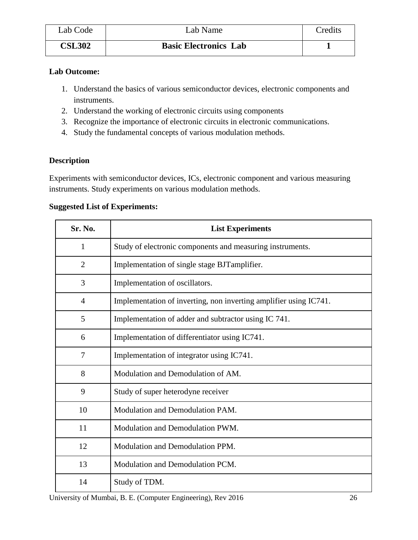| Lab Code      | Lab Name                     | Credits |
|---------------|------------------------------|---------|
| <b>CSL302</b> | <b>Basic Electronics Lab</b> |         |

## **Lab Outcome:**

- 1. Understand the basics of various semiconductor devices, electronic components and instruments.
- 2. Understand the working of electronic circuits using components
- 3. Recognize the importance of electronic circuits in electronic communications.
- 4. Study the fundamental concepts of various modulation methods.

## **Description**

Experiments with semiconductor devices, ICs, electronic component and various measuring instruments. Study experiments on various modulation methods.

## **Suggested List of Experiments:**

| Sr. No.        | <b>List Experiments</b>                                           |
|----------------|-------------------------------------------------------------------|
| 1              | Study of electronic components and measuring instruments.         |
| $\overline{2}$ | Implementation of single stage BJTamplifier.                      |
| 3              | Implementation of oscillators.                                    |
| $\overline{4}$ | Implementation of inverting, non inverting amplifier using IC741. |
| 5              | Implementation of adder and subtractor using IC 741.              |
| 6              | Implementation of differentiator using IC741.                     |
| 7              | Implementation of integrator using IC741.                         |
| 8              | Modulation and Demodulation of AM.                                |
| 9              | Study of super heterodyne receiver                                |
| 10             | Modulation and Demodulation PAM.                                  |
| 11             | Modulation and Demodulation PWM.                                  |
| 12             | Modulation and Demodulation PPM.                                  |
| 13             | Modulation and Demodulation PCM.                                  |
| 14             | Study of TDM.                                                     |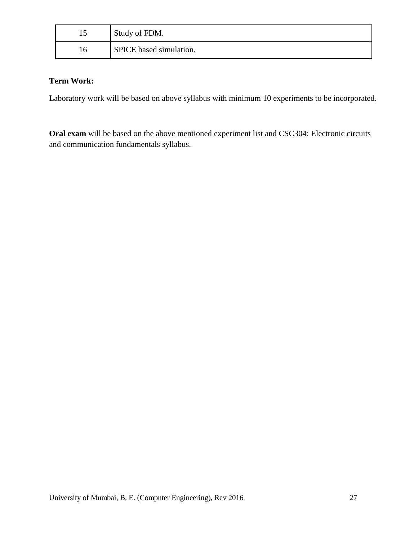| ⊥J | Study of FDM.                  |
|----|--------------------------------|
| 16 | <b>SPICE</b> based simulation. |

## **Term Work:**

Laboratory work will be based on above syllabus with minimum 10 experiments to be incorporated.

**Oral exam** will be based on the above mentioned experiment list and CSC304: Electronic circuits and communication fundamentals syllabus.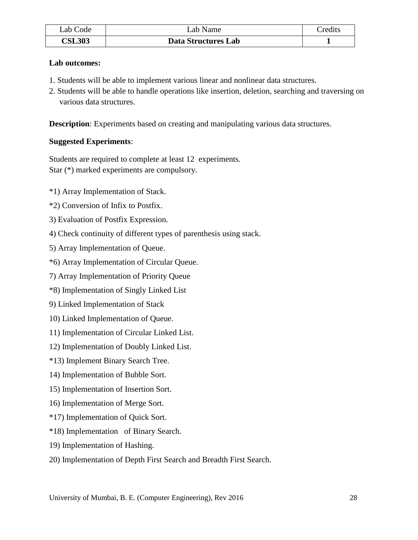| Lab Code      | $\text{\textsterling}ab$ Name | redits <sup>-</sup> |
|---------------|-------------------------------|---------------------|
| <b>CSL303</b> | Data Structures Lab           |                     |

#### **Lab outcomes:**

- 1. Students will be able to implement various linear and nonlinear data structures.
- 2. Students will be able to handle operations like insertion, deletion, searching and traversing on various data structures.

**Description**: Experiments based on creating and manipulating various data structures.

## **Suggested Experiments**:

Students are required to complete at least 12 experiments. Star (\*) marked experiments are compulsory.

\*1) Array Implementation of Stack.

\*2) Conversion of Infix to Postfix.

- 3) Evaluation of Postfix Expression.
- 4) Check continuity of different types of parenthesis using stack.
- 5) Array Implementation of Queue.
- \*6) Array Implementation of Circular Queue.
- 7) Array Implementation of Priority Queue
- \*8) Implementation of Singly Linked List
- 9) Linked Implementation of Stack
- 10) Linked Implementation of Queue.
- 11) Implementation of Circular Linked List.
- 12) Implementation of Doubly Linked List.
- \*13) Implement Binary Search Tree.
- 14) Implementation of Bubble Sort.
- 15) Implementation of Insertion Sort.
- 16) Implementation of Merge Sort.
- \*17) Implementation of Quick Sort.
- \*18) Implementation of Binary Search.
- 19) Implementation of Hashing.
- 20) Implementation of Depth First Search and Breadth First Search.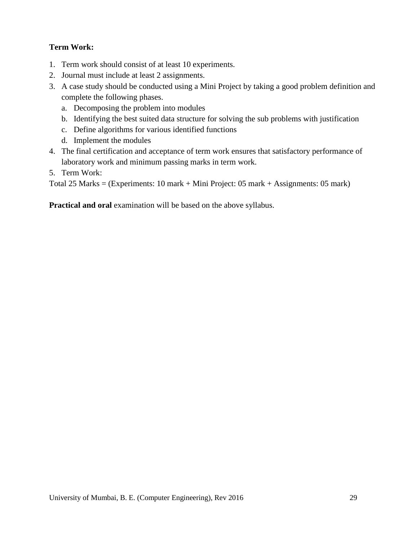# **Term Work:**

- 1. Term work should consist of at least 10 experiments.
- 2. Journal must include at least 2 assignments.
- 3. A case study should be conducted using a Mini Project by taking a good problem definition and complete the following phases.
	- a. Decomposing the problem into modules
	- b. Identifying the best suited data structure for solving the sub problems with justification
	- c. Define algorithms for various identified functions
	- d. Implement the modules
- 4. The final certification and acceptance of term work ensures that satisfactory performance of laboratory work and minimum passing marks in term work.
- 5. Term Work:

Total 25 Marks = (Experiments: 10 mark + Mini Project: 05 mark + Assignments: 05 mark)

**Practical and oral** examination will be based on the above syllabus.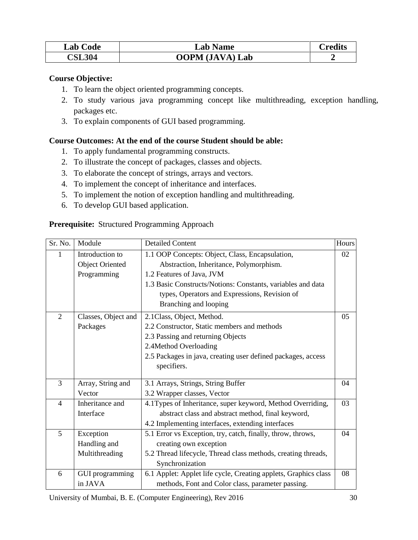| <b>Lab Code</b> | <b>Lab Name</b>        | $\gamma$ redits |
|-----------------|------------------------|-----------------|
| <b>CSL304</b>   | <b>OOPM</b> (JAVA) Lab |                 |

#### **Course Objective:**

- 1. To learn the object oriented programming concepts.
- 2. To study various java programming concept like multithreading, exception handling, packages etc.
- 3. To explain components of GUI based programming.

## **Course Outcomes: At the end of the course Student should be able:**

- 1. To apply fundamental programming constructs.
- 2. To illustrate the concept of packages, classes and objects.
- 3. To elaborate the concept of strings, arrays and vectors.
- 4. To implement the concept of inheritance and interfaces.
- 5. To implement the notion of exception handling and multithreading.
- 6. To develop GUI based application.

#### **Prerequisite:** Structured Programming Approach

| Sr. No.        | Module                 | <b>Detailed Content</b>                                         | Hours |
|----------------|------------------------|-----------------------------------------------------------------|-------|
| 1              | Introduction to        | 1.1 OOP Concepts: Object, Class, Encapsulation,                 | 02    |
|                | <b>Object Oriented</b> | Abstraction, Inheritance, Polymorphism.                         |       |
|                | Programming            | 1.2 Features of Java, JVM                                       |       |
|                |                        | 1.3 Basic Constructs/Notions: Constants, variables and data     |       |
|                |                        | types, Operators and Expressions, Revision of                   |       |
|                |                        | Branching and looping                                           |       |
| 2              | Classes, Object and    | 2.1 Class, Object, Method.                                      | 05    |
|                | Packages               | 2.2 Constructor, Static members and methods                     |       |
|                |                        | 2.3 Passing and returning Objects                               |       |
|                |                        | 2.4Method Overloading                                           |       |
|                |                        | 2.5 Packages in java, creating user defined packages, access    |       |
|                |                        | specifiers.                                                     |       |
| 3              | Array, String and      | 3.1 Arrays, Strings, String Buffer                              | 04    |
|                | Vector                 | 3.2 Wrapper classes, Vector                                     |       |
| $\overline{4}$ | Inheritance and        | 4.1Types of Inheritance, super keyword, Method Overriding,      | 03    |
|                | Interface              | abstract class and abstract method, final keyword,              |       |
|                |                        | 4.2 Implementing interfaces, extending interfaces               |       |
| 5              | Exception              | 5.1 Error vs Exception, try, catch, finally, throw, throws,     | 04    |
|                | Handling and           | creating own exception                                          |       |
|                | Multithreading         | 5.2 Thread lifecycle, Thread class methods, creating threads,   |       |
|                |                        | Synchronization                                                 |       |
| 6              | GUI programming        | 6.1 Applet: Applet life cycle, Creating applets, Graphics class | 08    |
|                | in JAVA                | methods, Font and Color class, parameter passing.               |       |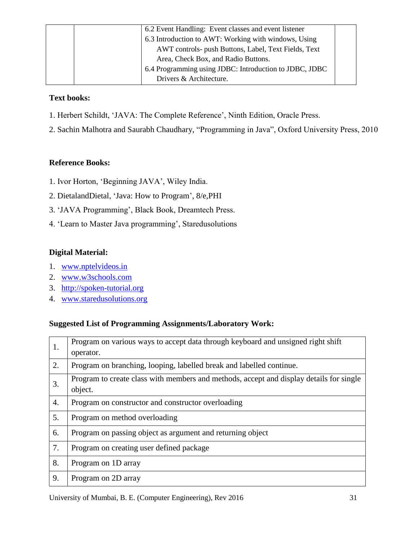| 6.2 Event Handling: Event classes and event listener   |  |
|--------------------------------------------------------|--|
| 6.3 Introduction to AWT: Working with windows, Using   |  |
| AWT controls- push Buttons, Label, Text Fields, Text   |  |
| Area, Check Box, and Radio Buttons.                    |  |
| 6.4 Programming using JDBC: Introduction to JDBC, JDBC |  |
| Drivers & Architecture.                                |  |

## **Text books:**

- 1. Herbert Schildt, "JAVA: The Complete Reference", Ninth Edition, Oracle Press.
- 2. Sachin Malhotra and Saurabh Chaudhary, "Programming in Java", Oxford University Press, 2010

## **Reference Books:**

- 1. Ivor Horton, "Beginning JAVA", Wiley India.
- 2. DietalandDietal, 'Java: How to Program', 8/e, PHI
- 3. "JAVA Programming", Black Book, Dreamtech Press.
- 4. 'Learn to Master Java programming', Staredusolutions

## **Digital Material:**

- 1. [www.nptelvideos.in](http://www.nptelvideos.in/)
- 2. [www.w3schools.com](http://www.w3schools.com/)
- 3. [http://spoken-tutorial.org](http://spoken-tutorial.org/)
- 4. [www.staredusolutions.org](http://www.staredusolutions.org/)

## **Suggested List of Programming Assignments/Laboratory Work:**

| 1. | Program on various ways to accept data through keyboard and unsigned right shift<br>operator.      |
|----|----------------------------------------------------------------------------------------------------|
| 2. | Program on branching, looping, labelled break and labelled continue.                               |
| 3. | Program to create class with members and methods, accept and display details for single<br>object. |
| 4. | Program on constructor and constructor overloading                                                 |
| 5. | Program on method overloading                                                                      |
| 6. | Program on passing object as argument and returning object                                         |
| 7. | Program on creating user defined package                                                           |
| 8. | Program on 1D array                                                                                |
| 9. | Program on 2D array                                                                                |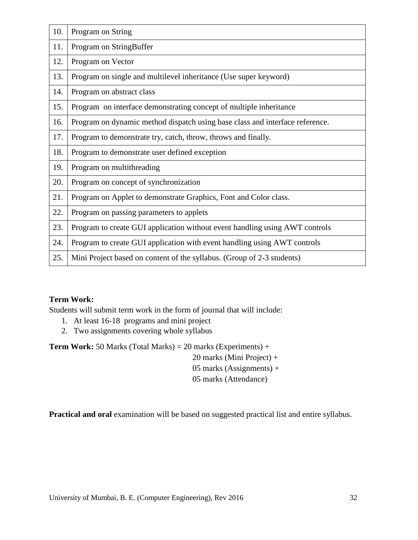| 10. | Program on String                                                            |
|-----|------------------------------------------------------------------------------|
| 11. | Program on StringBuffer                                                      |
| 12. | Program on Vector                                                            |
| 13. | Program on single and multilevel inheritance (Use super keyword)             |
| 14. | Program on abstract class                                                    |
| 15. | Program on interface demonstrating concept of multiple inheritance           |
| 16. | Program on dynamic method dispatch using base class and interface reference. |
| 17. | Program to demonstrate try, catch, throw, throws and finally.                |
| 18. | Program to demonstrate user defined exception                                |
| 19. | Program on multithreading                                                    |
| 20. | Program on concept of synchronization                                        |
| 21. | Program on Applet to demonstrate Graphics, Font and Color class.             |
| 22. | Program on passing parameters to applets                                     |
| 23. | Program to create GUI application without event handling using AWT controls  |
| 24. | Program to create GUI application with event handling using AWT controls     |
| 25. | Mini Project based on content of the syllabus. (Group of 2-3 students)       |

## **Term Work:**

Students will submit term work in the form of journal that will include:

- 1. At least 16-18 programs and mini project
- 2. Two assignments covering whole syllabus

**Term Work:** 50 Marks (Total Marks) = 20 marks (Experiments) +

20 marks (Mini Project) +

05 marks (Assignments) +

05 marks (Attendance)

**Practical and oral** examination will be based on suggested practical list and entire syllabus.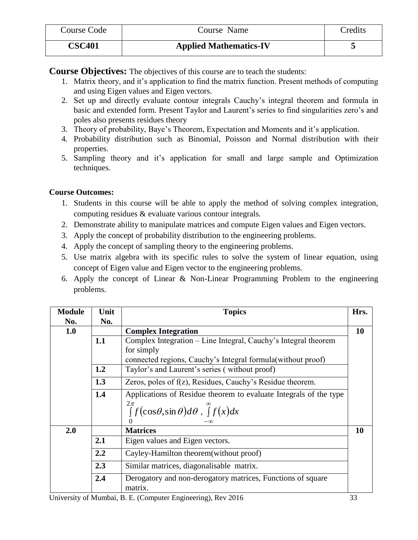| Course Code   | Course Name                   | <b>Tredits</b> |
|---------------|-------------------------------|----------------|
| <b>CSC401</b> | <b>Applied Mathematics-IV</b> |                |

**Course Objectives:** The objectives of this course are to teach the students:

- 1. Matrix theory, and it"s application to find the matrix function. Present methods of computing and using Eigen values and Eigen vectors.
- 2. Set up and directly evaluate contour integrals Cauchy"s integral theorem and formula in basic and extended form. Present Taylor and Laurent's series to find singularities zero's and poles also presents residues theory
- 3. Theory of probability, Baye"s Theorem, Expectation and Moments and it"s application.
- 4. Probability distribution such as Binomial, Poisson and Normal distribution with their properties.
- 5. Sampling theory and it"s application for small and large sample and Optimization techniques.

## **Course Outcomes:**

- 1. Students in this course will be able to apply the method of solving complex integration, computing residues & evaluate various contour integrals.
- 2. Demonstrate ability to manipulate matrices and compute Eigen values and Eigen vectors.
- 3. Apply the concept of probability distribution to the engineering problems.
- 4. Apply the concept of sampling theory to the engineering problems.
- 5. Use matrix algebra with its specific rules to solve the system of linear equation, using concept of Eigen value and Eigen vector to the engineering problems.
- 6. Apply the concept of Linear & Non-Linear Programming Problem to the engineering problems.

| <b>Module</b> | Unit | <b>Topics</b>                                                                               | Hrs. |
|---------------|------|---------------------------------------------------------------------------------------------|------|
| No.           | No.  |                                                                                             |      |
| 1.0           |      | <b>Complex Integration</b>                                                                  | 10   |
|               | 1.1  | Complex Integration – Line Integral, Cauchy's Integral theorem                              |      |
|               |      | for simply                                                                                  |      |
|               |      | connected regions, Cauchy's Integral formula (without proof)                                |      |
|               | 1.2  | Taylor's and Laurent's series (without proof)                                               |      |
|               | 1.3  | Zeros, poles of f(z), Residues, Cauchy's Residue theorem.                                   |      |
|               | 1.4  | Applications of Residue theorem to evaluate Integrals of the type                           |      |
|               |      | $2\pi$<br>$\int_{0}^{2\pi} f(\cos\theta, \sin\theta) d\theta$ , $\int_{0}^{\infty} f(x) dx$ |      |
|               |      |                                                                                             |      |
| 2.0           |      | <b>Matrices</b>                                                                             | 10   |
|               | 2.1  | Eigen values and Eigen vectors.                                                             |      |
|               | 2.2  | Cayley-Hamilton theorem (without proof)                                                     |      |
|               | 2.3  | Similar matrices, diagonalisable matrix.                                                    |      |
|               | 2.4  | Derogatory and non-derogatory matrices, Functions of square<br>matrix.                      |      |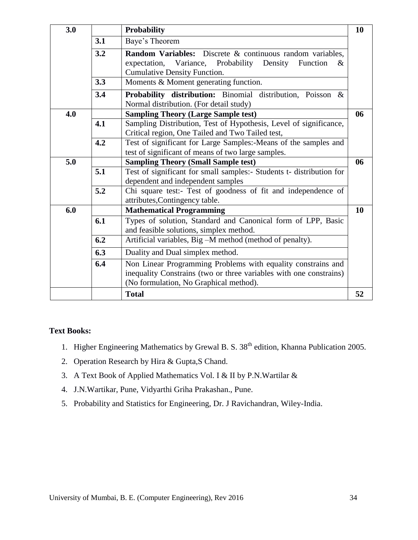| 3.0 |     | Probability                                                          | 10 |  |  |  |
|-----|-----|----------------------------------------------------------------------|----|--|--|--|
|     | 3.1 | Baye's Theorem                                                       |    |  |  |  |
|     | 3.2 | <b>Random Variables:</b> Discrete & continuous random variables,     |    |  |  |  |
|     |     | Variance, Probability Density<br>expectation,<br>Function<br>&       |    |  |  |  |
|     |     | Cumulative Density Function.                                         |    |  |  |  |
|     | 3.3 | Moments & Moment generating function.                                |    |  |  |  |
|     | 3.4 | Probability distribution: Binomial distribution, Poisson &           |    |  |  |  |
|     |     | Normal distribution. (For detail study)                              |    |  |  |  |
| 4.0 |     | <b>Sampling Theory (Large Sample test)</b>                           | 06 |  |  |  |
|     | 4.1 | Sampling Distribution, Test of Hypothesis, Level of significance,    |    |  |  |  |
|     |     | Critical region, One Tailed and Two Tailed test,                     |    |  |  |  |
|     | 4.2 | Test of significant for Large Samples:-Means of the samples and      |    |  |  |  |
|     |     | test of significant of means of two large samples.                   |    |  |  |  |
| 5.0 |     | <b>Sampling Theory (Small Sample test)</b>                           | 06 |  |  |  |
|     | 5.1 | Test of significant for small samples:- Students t- distribution for |    |  |  |  |
|     |     | dependent and independent samples                                    |    |  |  |  |
|     | 5.2 | Chi square test:- Test of goodness of fit and independence of        |    |  |  |  |
|     |     | attributes, Contingency table.                                       |    |  |  |  |
| 6.0 |     | <b>Mathematical Programming</b>                                      | 10 |  |  |  |
|     | 6.1 | Types of solution, Standard and Canonical form of LPP, Basic         |    |  |  |  |
|     |     | and feasible solutions, simplex method.                              |    |  |  |  |
|     | 6.2 | Artificial variables, Big -M method (method of penalty).             |    |  |  |  |
|     | 6.3 | Duality and Dual simplex method.                                     |    |  |  |  |
|     | 6.4 | Non Linear Programming Problems with equality constrains and         |    |  |  |  |
|     |     | inequality Constrains (two or three variables with one constrains)   |    |  |  |  |
|     |     | (No formulation, No Graphical method).                               |    |  |  |  |
|     |     | <b>Total</b>                                                         | 52 |  |  |  |

## **Text Books:**

- 1. Higher Engineering Mathematics by Grewal B. S. 38<sup>th</sup> edition, Khanna Publication 2005.
- 2. Operation Research by Hira & Gupta,S Chand.
- 3. A Text Book of Applied Mathematics Vol. I & II by P.N.Wartilar &
- 4. J.N.Wartikar, Pune, Vidyarthi Griha Prakashan., Pune.
- 5. Probability and Statistics for Engineering, Dr. J Ravichandran, Wiley-India.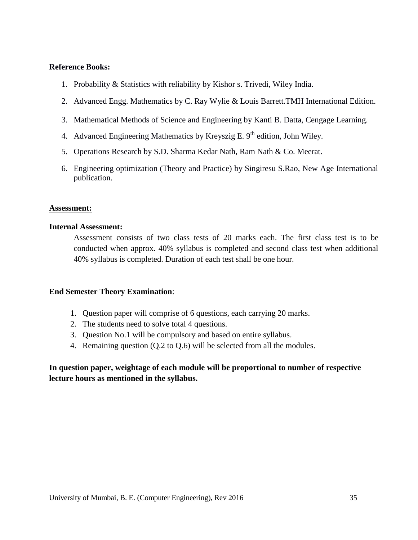#### **Reference Books:**

- 1. Probability & Statistics with reliability by Kishor s. Trivedi, Wiley India.
- 2. Advanced Engg. Mathematics by C. Ray Wylie & Louis Barrett.TMH International Edition.
- 3. Mathematical Methods of Science and Engineering by Kanti B. Datta, Cengage Learning.
- 4. Advanced Engineering Mathematics by Kreyszig E.  $9<sup>th</sup>$  edition, John Wiley.
- 5. Operations Research by S.D. Sharma Kedar Nath, Ram Nath & Co. Meerat.
- 6. Engineering optimization (Theory and Practice) by Singiresu S.Rao, New Age International publication.

#### **Assessment:**

#### **Internal Assessment:**

Assessment consists of two class tests of 20 marks each. The first class test is to be conducted when approx. 40% syllabus is completed and second class test when additional 40% syllabus is completed. Duration of each test shall be one hour.

#### **End Semester Theory Examination**:

- 1. Question paper will comprise of 6 questions, each carrying 20 marks.
- 2. The students need to solve total 4 questions.
- 3. Question No.1 will be compulsory and based on entire syllabus.
- 4. Remaining question (Q.2 to Q.6) will be selected from all the modules.

## **In question paper, weightage of each module will be proportional to number of respective lecture hours as mentioned in the syllabus.**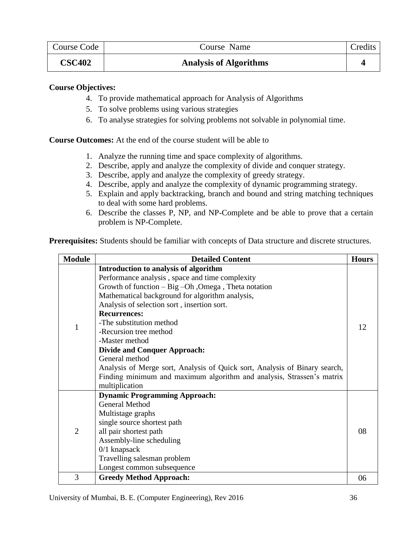| Course Code   | Course Name                   | Credits |
|---------------|-------------------------------|---------|
| <b>CSC402</b> | <b>Analysis of Algorithms</b> |         |

## **Course Objectives:**

- 4. To provide mathematical approach for Analysis of Algorithms
- 5. To solve problems using various strategies
- 6. To analyse strategies for solving problems not solvable in polynomial time.

**Course Outcomes:** At the end of the course student will be able to

- 1. Analyze the running time and space complexity of algorithms.
- 2. Describe, apply and analyze the complexity of divide and conquer strategy.
- 3. Describe, apply and analyze the complexity of greedy strategy.
- 4. Describe, apply and analyze the complexity of dynamic programming strategy.
- 5. Explain and apply backtracking, branch and bound and string matching techniques to deal with some hard problems.
- 6. Describe the classes P, NP, and NP-Complete and be able to prove that a certain problem is NP-Complete.

**Prerequisites:** Students should be familiar with concepts of Data structure and discrete structures.

| <b>Module</b>  | <b>Detailed Content</b>                                                    | <b>Hours</b> |
|----------------|----------------------------------------------------------------------------|--------------|
|                | Introduction to analysis of algorithm                                      |              |
|                | Performance analysis, space and time complexity                            |              |
|                | Growth of function - Big -Oh , Omega, Theta notation                       |              |
|                | Mathematical background for algorithm analysis,                            |              |
|                | Analysis of selection sort, insertion sort.                                |              |
|                | <b>Recurrences:</b>                                                        |              |
| 1              | -The substitution method                                                   | 12           |
|                | -Recursion tree method                                                     |              |
|                | -Master method                                                             |              |
|                | <b>Divide and Conquer Approach:</b>                                        |              |
|                | General method                                                             |              |
|                | Analysis of Merge sort, Analysis of Quick sort, Analysis of Binary search, |              |
|                | Finding minimum and maximum algorithm and analysis, Strassen's matrix      |              |
|                | multiplication                                                             |              |
|                | <b>Dynamic Programming Approach:</b>                                       |              |
|                | <b>General Method</b>                                                      |              |
|                | Multistage graphs                                                          |              |
|                | single source shortest path                                                |              |
| $\overline{2}$ | all pair shortest path                                                     | 08           |
|                | Assembly-line scheduling                                                   |              |
|                | $0/1$ knapsack                                                             |              |
|                | Travelling salesman problem                                                |              |
|                | Longest common subsequence                                                 |              |
| 3              | <b>Greedy Method Approach:</b>                                             | 06           |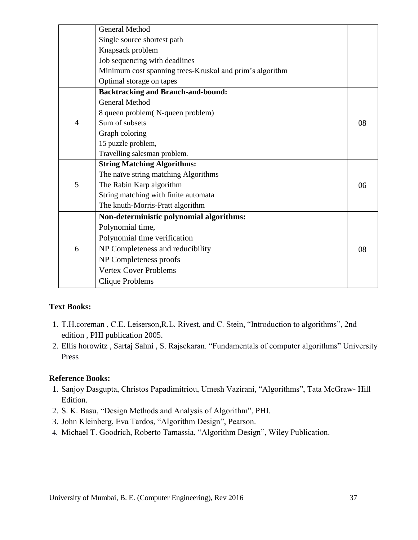|                | <b>General Method</b>                                    |    |
|----------------|----------------------------------------------------------|----|
|                | Single source shortest path                              |    |
|                | Knapsack problem                                         |    |
|                | Job sequencing with deadlines                            |    |
|                | Minimum cost spanning trees-Kruskal and prim's algorithm |    |
|                | Optimal storage on tapes                                 |    |
|                | <b>Backtracking and Branch-and-bound:</b>                |    |
|                | <b>General Method</b>                                    |    |
|                | 8 queen problem(N-queen problem)                         |    |
| $\overline{4}$ | Sum of subsets                                           | 08 |
|                | Graph coloring                                           |    |
|                | 15 puzzle problem,                                       |    |
|                | Travelling salesman problem.                             |    |
|                | <b>String Matching Algorithms:</b>                       |    |
|                | The naïve string matching Algorithms                     |    |
| 5              | The Rabin Karp algorithm                                 | 06 |
|                | String matching with finite automata                     |    |
|                | The knuth-Morris-Pratt algorithm                         |    |
|                | Non-deterministic polynomial algorithms:                 |    |
|                | Polynomial time,                                         |    |
|                | Polynomial time verification                             |    |
| 6              | NP Completeness and reducibility                         | 08 |
|                | NP Completeness proofs                                   |    |
|                | <b>Vertex Cover Problems</b>                             |    |
|                | Clique Problems                                          |    |

## **Text Books:**

- 1. T.H.coreman , C.E. Leiserson,R.L. Rivest, and C. Stein, "Introduction to algorithms", 2nd edition , PHI publication 2005.
- 2. Ellis horowitz , Sartaj Sahni , S. Rajsekaran. "Fundamentals of computer algorithms" University Press

## **Reference Books:**

- 1. Sanjoy Dasgupta, Christos Papadimitriou, Umesh Vazirani, "Algorithms", Tata McGraw- Hill Edition.
- 2. S. K. Basu, "Design Methods and Analysis of Algorithm", PHI.
- 3. John Kleinberg, Eva Tardos, "Algorithm Design", Pearson.
- 4. Michael T. Goodrich, Roberto Tamassia, "Algorithm Design", Wiley Publication.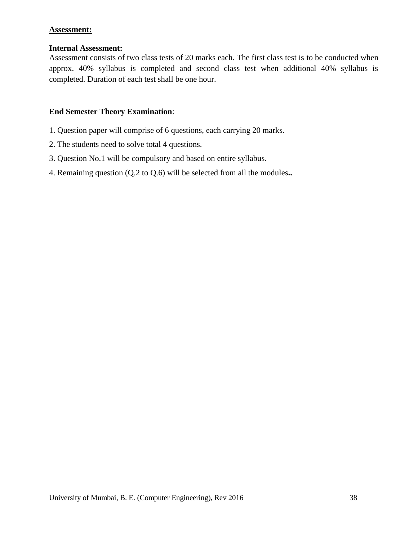## **Assessment:**

## **Internal Assessment:**

Assessment consists of two class tests of 20 marks each. The first class test is to be conducted when approx. 40% syllabus is completed and second class test when additional 40% syllabus is completed. Duration of each test shall be one hour.

## **End Semester Theory Examination**:

- 1. Question paper will comprise of 6 questions, each carrying 20 marks.
- 2. The students need to solve total 4 questions.
- 3. Question No.1 will be compulsory and based on entire syllabus.
- 4. Remaining question (Q.2 to Q.6) will be selected from all the modules**..**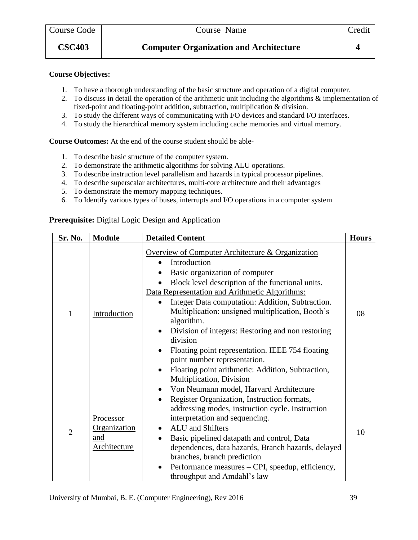#### **Course Objectives:**

- 1. To have a thorough understanding of the basic structure and operation of a digital computer.
- 2. To discuss in detail the operation of the arithmetic unit including the algorithms & implementation of fixed-point and floating-point addition, subtraction, multiplication & division.
- 3. To study the different ways of communicating with I/O devices and standard I/O interfaces.
- 4. To study the hierarchical memory system including cache memories and virtual memory.

**Course Outcomes:** At the end of the course student should be able-

- 1. To describe basic structure of the computer system.
- 2. To demonstrate the arithmetic algorithms for solving ALU operations.
- 3. To describe instruction level parallelism and hazards in typical processor pipelines.
- 4. To describe superscalar architectures, multi-core architecture and their advantages
- 5. To demonstrate the memory mapping techniques.
- 6. To Identify various types of buses, interrupts and I/O operations in a computer system

**Prerequisite:** Digital Logic Design and Application

| Sr. No.        | <b>Module</b>                                           | <b>Detailed Content</b>                                                                                                                                                                                                                                                                                                                                                                                                                                                                                                                                                                        | <b>Hours</b> |
|----------------|---------------------------------------------------------|------------------------------------------------------------------------------------------------------------------------------------------------------------------------------------------------------------------------------------------------------------------------------------------------------------------------------------------------------------------------------------------------------------------------------------------------------------------------------------------------------------------------------------------------------------------------------------------------|--------------|
| 1              | Introduction                                            | Overview of Computer Architecture & Organization<br>Introduction<br>Basic organization of computer<br>Block level description of the functional units.<br>Data Representation and Arithmetic Algorithms:<br>Integer Data computation: Addition, Subtraction.<br>Multiplication: unsigned multiplication, Booth's<br>algorithm.<br>Division of integers: Restoring and non restoring<br>$\bullet$<br>division<br>Floating point representation. IEEE 754 floating<br>$\bullet$<br>point number representation.<br>Floating point arithmetic: Addition, Subtraction,<br>Multiplication, Division | 08           |
| $\overline{2}$ | <b>Processor</b><br>Organization<br>and<br>Architecture | Von Neumann model, Harvard Architecture<br>Register Organization, Instruction formats,<br>addressing modes, instruction cycle. Instruction<br>interpretation and sequencing.<br><b>ALU</b> and Shifters<br>Basic pipelined datapath and control, Data<br>dependences, data hazards, Branch hazards, delayed<br>branches, branch prediction<br>Performance measures – CPI, speedup, efficiency,<br>throughput and Amdahl's law                                                                                                                                                                  | 10           |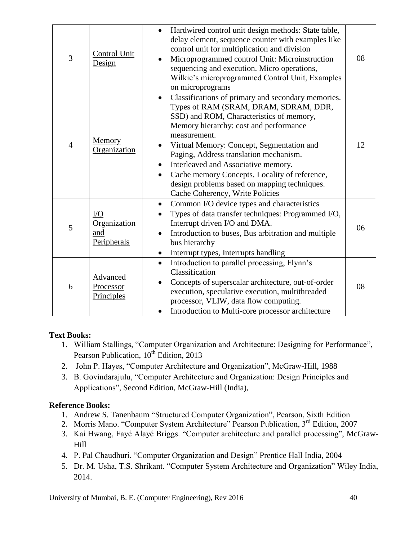| 3              | Control Unit<br>Design                         | Hardwired control unit design methods: State table,<br>delay element, sequence counter with examples like<br>control unit for multiplication and division<br>Microprogrammed control Unit: Microinstruction<br>sequencing and execution. Micro operations,<br>Wilkie's microprogrammed Control Unit, Examples<br>on microprograms                                                                                                                                                             | 08 |
|----------------|------------------------------------------------|-----------------------------------------------------------------------------------------------------------------------------------------------------------------------------------------------------------------------------------------------------------------------------------------------------------------------------------------------------------------------------------------------------------------------------------------------------------------------------------------------|----|
| $\overline{4}$ | Memory<br>Organization                         | Classifications of primary and secondary memories.<br>$\bullet$<br>Types of RAM (SRAM, DRAM, SDRAM, DDR,<br>SSD) and ROM, Characteristics of memory,<br>Memory hierarchy: cost and performance<br>measurement.<br>Virtual Memory: Concept, Segmentation and<br>Paging, Address translation mechanism.<br>Interleaved and Associative memory.<br>Cache memory Concepts, Locality of reference,<br>$\bullet$<br>design problems based on mapping techniques.<br>Cache Coherency, Write Policies | 12 |
| 5              | $\rm LO$<br>Organization<br>and<br>Peripherals | Common I/O device types and characteristics<br>$\bullet$<br>Types of data transfer techniques: Programmed I/O,<br>Interrupt driven I/O and DMA.<br>Introduction to buses, Bus arbitration and multiple<br>bus hierarchy<br>Interrupt types, Interrupts handling<br>$\bullet$                                                                                                                                                                                                                  | 06 |
| 6              | Advanced<br>Processor<br>Principles            | Introduction to parallel processing, Flynn's<br>$\bullet$<br>Classification<br>Concepts of superscalar architecture, out-of-order<br>execution, speculative execution, multithreaded<br>processor, VLIW, data flow computing.<br>Introduction to Multi-core processor architecture                                                                                                                                                                                                            | 08 |

## **Text Books:**

- 1. William Stallings, "Computer Organization and Architecture: Designing for Performance", Pearson Publication, 10<sup>th</sup> Edition, 2013
- 2. John P. Hayes, "Computer Architecture and Organization", McGraw-Hill, 1988
- 3. B. Govindarajulu, "Computer Architecture and Organization: Design Principles and Applications", Second Edition, McGraw-Hill (India),

# **Reference Books:**

- 1. Andrew S. Tanenbaum "Structured Computer Organization", Pearson, Sixth Edition
- 2. Morris Mano. "Computer System Architecture" Pearson Publication, 3<sup>rd</sup> Edition, 2007
- 3. Kai Hwang, Fayé Alayé Briggs. "Computer architecture and parallel processing", McGraw-Hill
- 4. P. Pal Chaudhuri. "Computer Organization and Design" Prentice Hall India, 2004
- 5. Dr. M. Usha, T.S. Shrikant. "Computer System Architecture and Organization" Wiley India, 2014.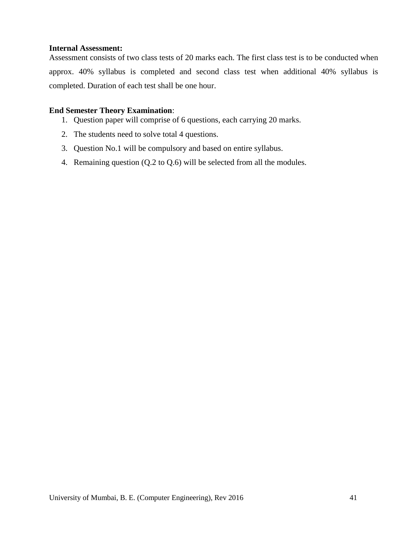#### **Internal Assessment:**

Assessment consists of two class tests of 20 marks each. The first class test is to be conducted when approx. 40% syllabus is completed and second class test when additional 40% syllabus is completed. Duration of each test shall be one hour.

## **End Semester Theory Examination**:

- 1. Question paper will comprise of 6 questions, each carrying 20 marks.
- 2. The students need to solve total 4 questions.
- 3. Question No.1 will be compulsory and based on entire syllabus.
- 4. Remaining question (Q.2 to Q.6) will be selected from all the modules.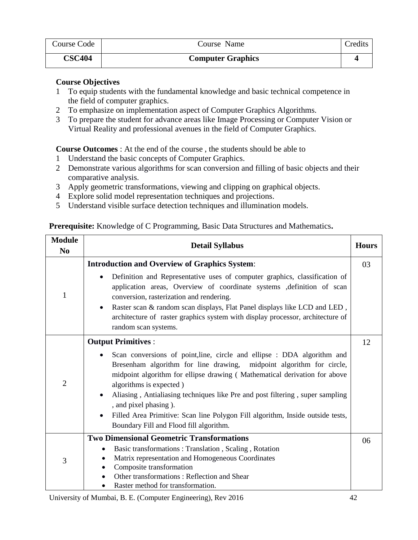| Course Code   | Course Name              | redits_ |
|---------------|--------------------------|---------|
| <b>CSC404</b> | <b>Computer Graphics</b> |         |

#### **Course Objectives**

- 1 To equip students with the fundamental knowledge and basic technical competence in the field of computer graphics.
- 2 To emphasize on implementation aspect of Computer Graphics Algorithms.
- 3 To prepare the student for advance areas like Image Processing or Computer Vision or Virtual Reality and professional avenues in the field of Computer Graphics.

**Course Outcomes** : At the end of the course , the students should be able to

- 1 Understand the basic concepts of Computer Graphics.
- 2 Demonstrate various algorithms for scan conversion and filling of basic objects and their comparative analysis.
- 3 Apply geometric transformations, viewing and clipping on graphical objects.
- 4 Explore solid model representation techniques and projections.
- 5 Understand visible surface detection techniques and illumination models.

## **Prerequisite:** Knowledge of C Programming, Basic Data Structures and Mathematics**.**

| <b>Module</b><br>N <sub>0</sub> | <b>Detail Syllabus</b>                                                                                                                                                                                                                                                                                                                                                                                                                                                                                                                 | <b>Hours</b> |
|---------------------------------|----------------------------------------------------------------------------------------------------------------------------------------------------------------------------------------------------------------------------------------------------------------------------------------------------------------------------------------------------------------------------------------------------------------------------------------------------------------------------------------------------------------------------------------|--------------|
|                                 | <b>Introduction and Overview of Graphics System:</b>                                                                                                                                                                                                                                                                                                                                                                                                                                                                                   | 03           |
| $\mathbf{1}$                    | Definition and Representative uses of computer graphics, classification of<br>$\bullet$<br>application areas, Overview of coordinate systems , definition of scan<br>conversion, rasterization and rendering.<br>Raster scan & random scan displays, Flat Panel displays like LCD and LED,<br>$\bullet$<br>architecture of raster graphics system with display processor, architecture of<br>random scan systems.                                                                                                                      |              |
|                                 | <b>Output Primitives:</b>                                                                                                                                                                                                                                                                                                                                                                                                                                                                                                              | 12           |
| $\overline{2}$                  | Scan conversions of point, line, circle and ellipse : DDA algorithm and<br>$\bullet$<br>Bresenham algorithm for line drawing, midpoint algorithm for circle,<br>midpoint algorithm for ellipse drawing (Mathematical derivation for above<br>algorithms is expected)<br>Aliasing, Antialiasing techniques like Pre and post filtering, super sampling<br>$\bullet$<br>, and pixel phasing ).<br>Filled Area Primitive: Scan line Polygon Fill algorithm, Inside outside tests,<br>$\bullet$<br>Boundary Fill and Flood fill algorithm. |              |
| 3                               | <b>Two Dimensional Geometric Transformations</b>                                                                                                                                                                                                                                                                                                                                                                                                                                                                                       | 06           |
|                                 | Basic transformations: Translation, Scaling, Rotation<br>Matrix representation and Homogeneous Coordinates<br>Composite transformation<br>Other transformations: Reflection and Shear<br>Raster method for transformation.                                                                                                                                                                                                                                                                                                             |              |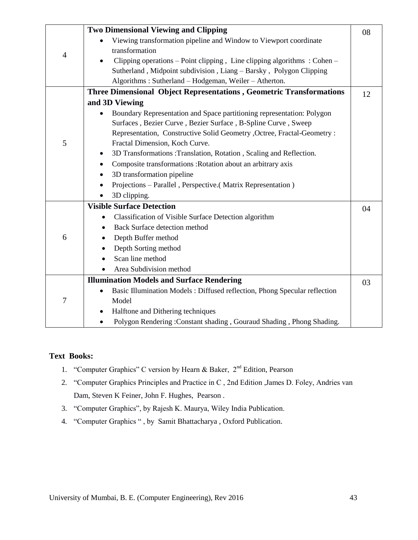|                | <b>Two Dimensional Viewing and Clipping</b>                                            | 08 |
|----------------|----------------------------------------------------------------------------------------|----|
|                | Viewing transformation pipeline and Window to Viewport coordinate                      |    |
|                | transformation                                                                         |    |
| $\overline{4}$ | Clipping operations – Point clipping, Line clipping algorithms: Cohen –<br>$\bullet$   |    |
|                | Sutherland, Midpoint subdivision, Liang - Barsky, Polygon Clipping                     |    |
|                | Algorithms: Sutherland - Hodgeman, Weiler - Atherton.                                  |    |
|                | Three Dimensional Object Representations, Geometric Transformations                    |    |
|                |                                                                                        | 12 |
|                | and 3D Viewing                                                                         |    |
|                | Boundary Representation and Space partitioning representation: Polygon<br>$\bullet$    |    |
|                | Surfaces, Bezier Curve, Bezier Surface, B-Spline Curve, Sweep                          |    |
|                | Representation, Constructive Solid Geometry , Octree, Fractal-Geometry :               |    |
| 5              | Fractal Dimension, Koch Curve.                                                         |    |
|                | 3D Transformations :Translation, Rotation, Scaling and Reflection.<br>٠                |    |
|                | Composite transformations: Rotation about an arbitrary axis<br>$\bullet$               |    |
|                | 3D transformation pipeline                                                             |    |
|                | Projections - Parallel, Perspective.(Matrix Representation)<br>٠                       |    |
|                | 3D clipping.                                                                           |    |
|                | <b>Visible Surface Detection</b>                                                       | 04 |
|                | Classification of Visible Surface Detection algorithm                                  |    |
|                | <b>Back Surface detection method</b><br>$\bullet$                                      |    |
| 6              | Depth Buffer method<br>٠                                                               |    |
|                | Depth Sorting method                                                                   |    |
|                | Scan line method                                                                       |    |
|                | Area Subdivision method                                                                |    |
|                | <b>Illumination Models and Surface Rendering</b>                                       | 03 |
|                | Basic Illumination Models: Diffused reflection, Phong Specular reflection<br>$\bullet$ |    |
| 7              | Model                                                                                  |    |
|                | Halftone and Dithering techniques<br>$\bullet$                                         |    |
|                | Polygon Rendering: Constant shading, Gouraud Shading, Phong Shading.                   |    |
|                |                                                                                        |    |

## **Text Books:**

- 1. "Computer Graphics" C version by Hearn & Baker,  $2<sup>nd</sup>$  Edition, Pearson
- 2. "Computer Graphics Principles and Practice in C , 2nd Edition ,James D. Foley, Andries van Dam, Steven K Feiner, John F. Hughes, Pearson .
- 3. "Computer Graphics", by Rajesh K. Maurya, Wiley India Publication.
- 4. "Computer Graphics " , by Samit Bhattacharya , Oxford Publication.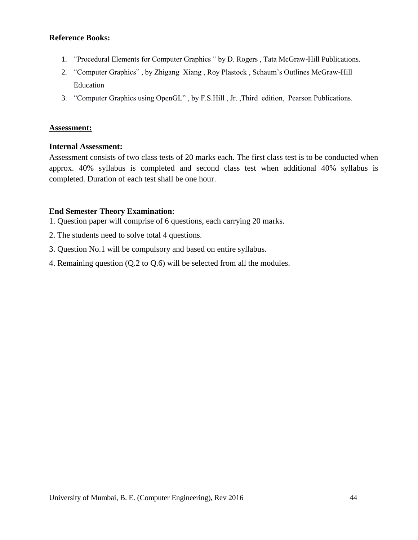#### **Reference Books:**

- 1. "Procedural Elements for Computer Graphics " by D. Rogers , Tata McGraw-Hill Publications.
- 2. "Computer Graphics" , by Zhigang Xiang , Roy Plastock , Schaum"s Outlines McGraw-Hill Education
- 3. "Computer Graphics using OpenGL" , by F.S.Hill , Jr. ,Third edition, Pearson Publications.

#### **Assessment:**

#### **Internal Assessment:**

Assessment consists of two class tests of 20 marks each. The first class test is to be conducted when approx. 40% syllabus is completed and second class test when additional 40% syllabus is completed. Duration of each test shall be one hour.

#### **End Semester Theory Examination**:

- 1. Question paper will comprise of 6 questions, each carrying 20 marks.
- 2. The students need to solve total 4 questions.
- 3. Question No.1 will be compulsory and based on entire syllabus.
- 4. Remaining question (Q.2 to Q.6) will be selected from all the modules.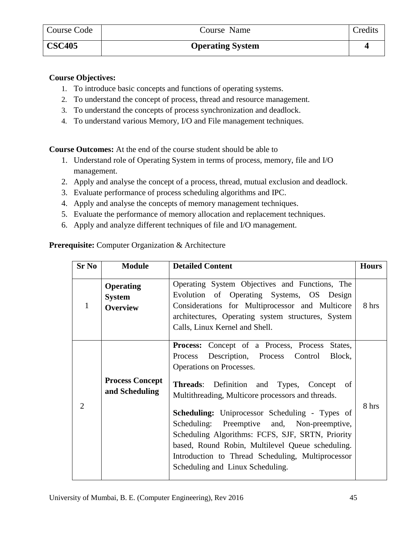## **Course Objectives:**

- 1. To introduce basic concepts and functions of operating systems.
- 2. To understand the concept of process, thread and resource management.
- 3. To understand the concepts of process synchronization and deadlock.
- 4. To understand various Memory, I/O and File management techniques.

**Course Outcomes:** At the end of the course student should be able to

- 1. Understand role of Operating System in terms of process, memory, file and I/O management.
- 2. Apply and analyse the concept of a process, thread, mutual exclusion and deadlock.
- 3. Evaluate performance of process scheduling algorithms and IPC.
- 4. Apply and analyse the concepts of memory management techniques.
- 5. Evaluate the performance of memory allocation and replacement techniques.
- 6. Apply and analyze different techniques of file and I/O management.

## **Prerequisite:** Computer Organization & Architecture

| <b>Sr No</b>   | <b>Module</b>                                        | <b>Detailed Content</b>                                                                                                                                                                                                                                                                                                                                                                                                                                                                                                                                        | <b>Hours</b> |
|----------------|------------------------------------------------------|----------------------------------------------------------------------------------------------------------------------------------------------------------------------------------------------------------------------------------------------------------------------------------------------------------------------------------------------------------------------------------------------------------------------------------------------------------------------------------------------------------------------------------------------------------------|--------------|
| 1              | <b>Operating</b><br><b>System</b><br><b>Overview</b> | Operating System Objectives and Functions, The<br>Evolution of Operating Systems, OS Design<br>Considerations for Multiprocessor and Multicore<br>architectures, Operating system structures, System<br>Calls, Linux Kernel and Shell.                                                                                                                                                                                                                                                                                                                         |              |
| $\overline{2}$ | <b>Process Concept</b><br>and Scheduling             | <b>Process:</b> Concept of a Process, Process<br>States,<br>Description, Process Control<br>Block,<br>Process<br>Operations on Processes.<br><b>Threads:</b> Definition and Types, Concept<br>of<br>Multithreading, Multicore processors and threads.<br><b>Scheduling:</b> Uniprocessor Scheduling - Types of<br>Scheduling: Preemptive and, Non-preemptive,<br>Scheduling Algorithms: FCFS, SJF, SRTN, Priority<br>based, Round Robin, Multilevel Queue scheduling.<br>Introduction to Thread Scheduling, Multiprocessor<br>Scheduling and Linux Scheduling. | 8 hrs        |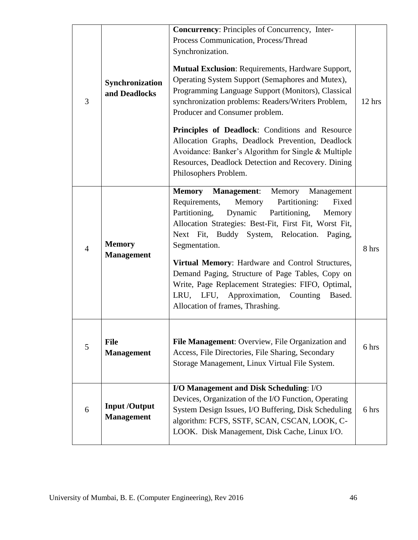| 3              | Synchronization<br>and Deadlocks         | <b>Concurrency:</b> Principles of Concurrency, Inter-<br>Process Communication, Process/Thread<br>Synchronization.<br><b>Mutual Exclusion: Requirements, Hardware Support,</b><br>Operating System Support (Semaphores and Mutex),<br>Programming Language Support (Monitors), Classical<br>synchronization problems: Readers/Writers Problem,<br>Producer and Consumer problem.<br>Principles of Deadlock: Conditions and Resource<br>Allocation Graphs, Deadlock Prevention, Deadlock<br>Avoidance: Banker's Algorithm for Single & Multiple<br>Resources, Deadlock Detection and Recovery. Dining<br>Philosophers Problem. | 12 hrs |
|----------------|------------------------------------------|-------------------------------------------------------------------------------------------------------------------------------------------------------------------------------------------------------------------------------------------------------------------------------------------------------------------------------------------------------------------------------------------------------------------------------------------------------------------------------------------------------------------------------------------------------------------------------------------------------------------------------|--------|
| $\overline{4}$ | <b>Memory</b><br><b>Management</b>       | <b>Memory</b><br><b>Management:</b><br>Memory<br>Management<br>Requirements,<br>Partitioning:<br>Memory<br>Fixed<br>Partitioning,<br>Dynamic<br>Partitioning,<br>Memory<br>Allocation Strategies: Best-Fit, First Fit, Worst Fit,<br>Next Fit, Buddy System, Relocation.<br>Paging,<br>Segmentation.<br>Virtual Memory: Hardware and Control Structures,<br>Demand Paging, Structure of Page Tables, Copy on<br>Write, Page Replacement Strategies: FIFO, Optimal,<br>LFU, Approximation,<br>LRU,<br>Counting<br>Based.<br>Allocation of frames, Thrashing.                                                                   | 8 hrs  |
| 5              | <b>File</b><br><b>Management</b>         | File Management: Overview, File Organization and<br>Access, File Directories, File Sharing, Secondary<br>Storage Management, Linux Virtual File System.                                                                                                                                                                                                                                                                                                                                                                                                                                                                       | 6 hrs  |
| 6              | <b>Input/Output</b><br><b>Management</b> | I/O Management and Disk Scheduling: I/O<br>Devices, Organization of the I/O Function, Operating<br>System Design Issues, I/O Buffering, Disk Scheduling<br>algorithm: FCFS, SSTF, SCAN, CSCAN, LOOK, C-<br>LOOK. Disk Management, Disk Cache, Linux I/O.                                                                                                                                                                                                                                                                                                                                                                      | 6 hrs  |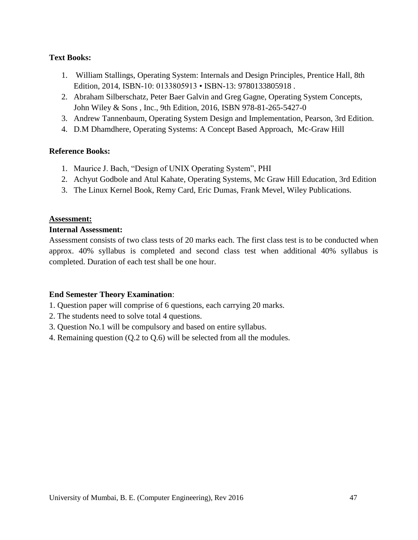## **Text Books:**

- 1. William Stallings, Operating System: Internals and Design Principles, Prentice Hall, 8th Edition, 2014, ISBN-10: 0133805913 • ISBN-13: 9780133805918 .
- 2. Abraham Silberschatz, Peter Baer Galvin and Greg Gagne, Operating System Concepts, John Wiley & Sons , Inc., 9th Edition, 2016, ISBN 978-81-265-5427-0
- 3. Andrew Tannenbaum, Operating System Design and Implementation, Pearson, 3rd Edition.
- 4. D.M Dhamdhere, Operating Systems: A Concept Based Approach, Mc-Graw Hill

#### **Reference Books:**

- 1. Maurice J. Bach, "Design of UNIX Operating System", PHI
- 2. Achyut Godbole and Atul Kahate, Operating Systems, Mc Graw Hill Education, 3rd Edition
- 3. The Linux Kernel Book, Remy Card, Eric Dumas, Frank Mevel, Wiley Publications.

#### **Assessment:**

#### **Internal Assessment:**

Assessment consists of two class tests of 20 marks each. The first class test is to be conducted when approx. 40% syllabus is completed and second class test when additional 40% syllabus is completed. Duration of each test shall be one hour.

#### **End Semester Theory Examination**:

- 1. Question paper will comprise of 6 questions, each carrying 20 marks.
- 2. The students need to solve total 4 questions.
- 3. Question No.1 will be compulsory and based on entire syllabus.
- 4. Remaining question (Q.2 to Q.6) will be selected from all the modules.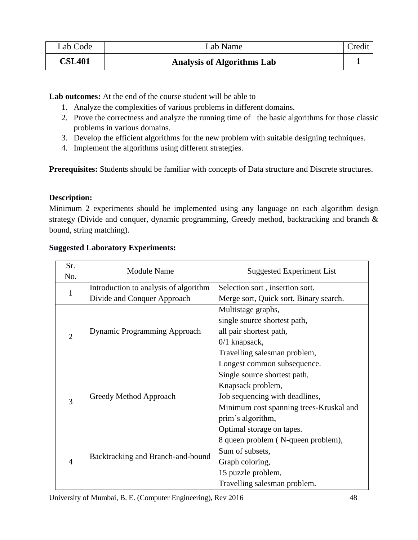| Lab Code      | Lab Name                          |  |
|---------------|-----------------------------------|--|
| <b>CSL401</b> | <b>Analysis of Algorithms Lab</b> |  |

Lab outcomes: At the end of the course student will be able to

- 1. Analyze the complexities of various problems in different domains.
- 2. Prove the correctness and analyze the running time of the basic algorithms for those classic problems in various domains.
- 3. Develop the efficient algorithms for the new problem with suitable designing techniques.
- 4. Implement the algorithms using different strategies.

**Prerequisites:** Students should be familiar with concepts of Data structure and Discrete structures.

## **Description:**

Minimum 2 experiments should be implemented using any language on each algorithm design strategy (Divide and conquer, dynamic programming, Greedy method, backtracking and branch & bound, string matching).

| Sr.            | <b>Module Name</b>                    | <b>Suggested Experiment List</b>        |  |
|----------------|---------------------------------------|-----------------------------------------|--|
| No.            |                                       |                                         |  |
| $\mathbf{1}$   | Introduction to analysis of algorithm | Selection sort, insertion sort.         |  |
|                | Divide and Conquer Approach           | Merge sort, Quick sort, Binary search.  |  |
|                |                                       | Multistage graphs,                      |  |
|                |                                       | single source shortest path,            |  |
| $\overline{2}$ | <b>Dynamic Programming Approach</b>   | all pair shortest path,                 |  |
|                |                                       | $0/1$ knapsack,                         |  |
|                |                                       | Travelling salesman problem,            |  |
|                |                                       | Longest common subsequence.             |  |
|                |                                       | Single source shortest path,            |  |
| 3              |                                       | Knapsack problem,                       |  |
|                | Greedy Method Approach                | Job sequencing with deadlines,          |  |
|                |                                       | Minimum cost spanning trees-Kruskal and |  |
|                |                                       | prim's algorithm,                       |  |
|                |                                       | Optimal storage on tapes.               |  |
|                |                                       | 8 queen problem (N-queen problem),      |  |
|                |                                       | Sum of subsets,                         |  |
| $\overline{4}$ | Backtracking and Branch-and-bound     | Graph coloring,                         |  |
|                |                                       | 15 puzzle problem,                      |  |
|                |                                       | Travelling salesman problem.            |  |

## **Suggested Laboratory Experiments:**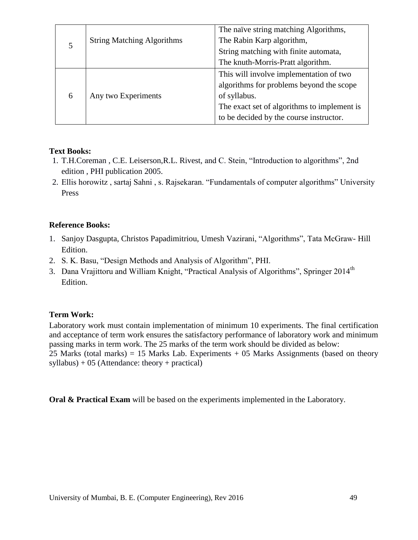|   |                                   | The naïve string matching Algorithms,       |
|---|-----------------------------------|---------------------------------------------|
|   | <b>String Matching Algorithms</b> | The Rabin Karp algorithm,                   |
|   |                                   | String matching with finite automata,       |
|   |                                   | The knuth-Morris-Pratt algorithm.           |
| 6 |                                   | This will involve implementation of two     |
|   |                                   | algorithms for problems beyond the scope    |
|   | Any two Experiments               | of syllabus.                                |
|   |                                   | The exact set of algorithms to implement is |
|   |                                   | to be decided by the course instructor.     |

## **Text Books:**

- 1. T.H.Coreman , C.E. Leiserson,R.L. Rivest, and C. Stein, "Introduction to algorithms", 2nd edition , PHI publication 2005.
- 2. Ellis horowitz , sartaj Sahni , s. Rajsekaran. "Fundamentals of computer algorithms" University Press

## **Reference Books:**

- 1. Sanjoy Dasgupta, Christos Papadimitriou, Umesh Vazirani, "Algorithms", Tata McGraw- Hill Edition.
- 2. S. K. Basu, "Design Methods and Analysis of Algorithm", PHI.
- 3. Dana Vrajittoru and William Knight, "Practical Analysis of Algorithms", Springer 2014<sup>th</sup> Edition.

## **Term Work:**

Laboratory work must contain implementation of minimum 10 experiments. The final certification and acceptance of term work ensures the satisfactory performance of laboratory work and minimum passing marks in term work. The 25 marks of the term work should be divided as below: 25 Marks (total marks) = 15 Marks Lab. Experiments  $+ 05$  Marks Assignments (based on theory  $syllabus) + 05$  (Attendance: theory + practical)

**Oral & Practical Exam** will be based on the experiments implemented in the Laboratory.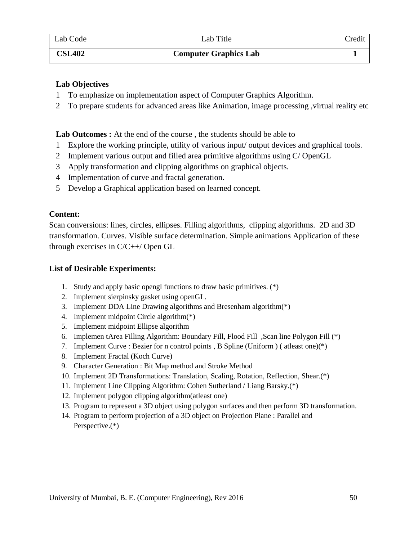| Lab Code      | Lab Title                    | Credit |
|---------------|------------------------------|--------|
| <b>CSL402</b> | <b>Computer Graphics Lab</b> |        |

## **Lab Objectives**

- 1 To emphasize on implementation aspect of Computer Graphics Algorithm.
- 2 To prepare students for advanced areas like Animation, image processing ,virtual reality etc

Lab Outcomes : At the end of the course, the students should be able to

- 1 Explore the working principle, utility of various input/ output devices and graphical tools.
- 2 Implement various output and filled area primitive algorithms using C/ OpenGL
- 3 Apply transformation and clipping algorithms on graphical objects.
- 4 Implementation of curve and fractal generation.
- 5 Develop a Graphical application based on learned concept.

## **Content:**

Scan conversions: lines, circles, ellipses. Filling algorithms, clipping algorithms. 2D and 3D transformation. Curves. Visible surface determination. Simple animations Application of these through exercises in C/C++/ Open GL

## **List of Desirable Experiments:**

- 1. Study and apply basic opengl functions to draw basic primitives. (\*)
- 2. Implement sierpinsky gasket using openGL.
- 3. Implement DDA Line Drawing algorithms and Bresenham algorithm(\*)
- 4. Implement midpoint Circle algorithm(\*)
- 5. Implement midpoint Ellipse algorithm
- 6. Implemen tArea Filling Algorithm: Boundary Fill, Flood Fill ,Scan line Polygon Fill (\*)
- 7. Implement Curve : Bezier for n control points , B Spline (Uniform ) ( atleast one)(\*)
- 8. Implement Fractal (Koch Curve)
- 9. Character Generation : Bit Map method and Stroke Method
- 10. Implement 2D Transformations: Translation, Scaling, Rotation, Reflection, Shear.(\*)
- 11. Implement Line Clipping Algorithm: Cohen Sutherland / Liang Barsky.(\*)
- 12. Implement polygon clipping algorithm(atleast one)
- 13. Program to represent a 3D object using polygon surfaces and then perform 3D transformation.
- 14. Program to perform projection of a 3D object on Projection Plane : Parallel and Perspective.(\*)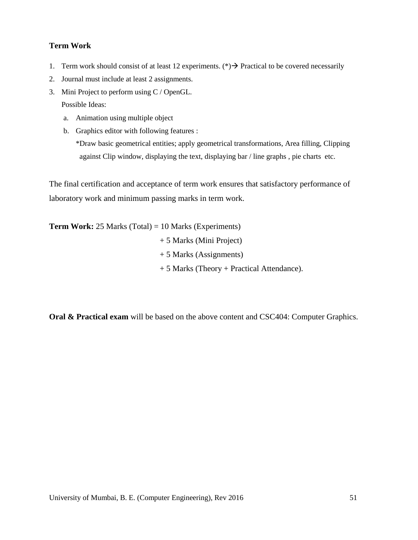#### **Term Work**

- 1. Term work should consist of at least 12 experiments. (\*)  $\rightarrow$  Practical to be covered necessarily
- 2. Journal must include at least 2 assignments.
- 3. Mini Project to perform using C / OpenGL.

Possible Ideas:

- a. Animation using multiple object
- b. Graphics editor with following features :

\*Draw basic geometrical entities; apply geometrical transformations, Area filling, Clipping against Clip window, displaying the text, displaying bar / line graphs , pie charts etc.

The final certification and acceptance of term work ensures that satisfactory performance of laboratory work and minimum passing marks in term work.

**Term Work:** 25 Marks (Total) = 10 Marks (Experiments) + 5 Marks (Mini Project) + 5 Marks (Assignments) + 5 Marks (Theory + Practical Attendance).

**Oral & Practical exam** will be based on the above content and CSC404: Computer Graphics.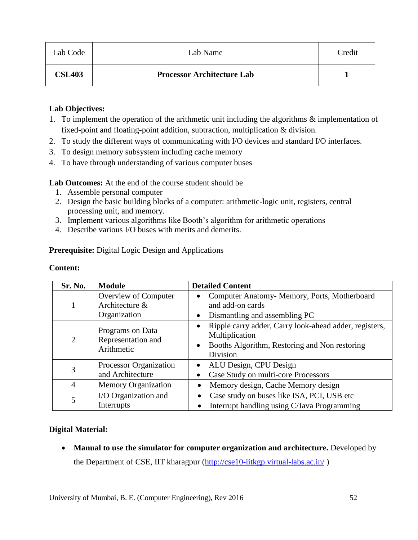| Lab Code      | Lab Name                          | Credit |
|---------------|-----------------------------------|--------|
| <b>CSL403</b> | <b>Processor Architecture Lab</b> |        |

#### **Lab Objectives:**

- 1. To implement the operation of the arithmetic unit including the algorithms & implementation of fixed-point and floating-point addition, subtraction, multiplication & division.
- 2. To study the different ways of communicating with I/O devices and standard I/O interfaces.
- 3. To design memory subsystem including cache memory
- 4. To have through understanding of various computer buses

**Lab Outcomes:** At the end of the course student should be

- 1. Assemble personal computer
- 2. Design the basic building blocks of a computer: arithmetic-logic unit, registers, central processing unit, and memory.
- 3. Implement various algorithms like Booth"s algorithm for arithmetic operations
- 4. Describe various I/O buses with merits and demerits.

**Prerequisite:** Digital Logic Design and Applications

## **Content:**

| Sr. No.        | <b>Module</b>                                          | <b>Detailed Content</b>                                                                                                                    |
|----------------|--------------------------------------------------------|--------------------------------------------------------------------------------------------------------------------------------------------|
|                | Overview of Computer<br>Architecture &<br>Organization | Computer Anatomy-Memory, Ports, Motherboard<br>and add-on cards<br>Dismantling and assembling PC<br>$\bullet$                              |
| 2              | Programs on Data<br>Representation and<br>Arithmetic   | Ripple carry adder, Carry look-ahead adder, registers,<br>Multiplication<br>Booths Algorithm, Restoring and Non restoring<br>٠<br>Division |
| 3              | Processor Organization<br>and Architecture             | ALU Design, CPU Design<br>Case Study on multi-core Processors                                                                              |
| $\overline{4}$ | <b>Memory Organization</b>                             | Memory design, Cache Memory design                                                                                                         |
| 5              | I/O Organization and<br>Interrupts                     | Case study on buses like ISA, PCI, USB etc<br>Interrupt handling using C/Java Programming<br>$\bullet$                                     |

## **Digital Material:**

• Manual to use the simulator for computer organization and architecture. Developed by the Department of CSE, IIT kharagpur [\(http://cse10-iitkgp.virtual-labs.ac.in/](http://cse10-iitkgp.virtual-labs.ac.in/))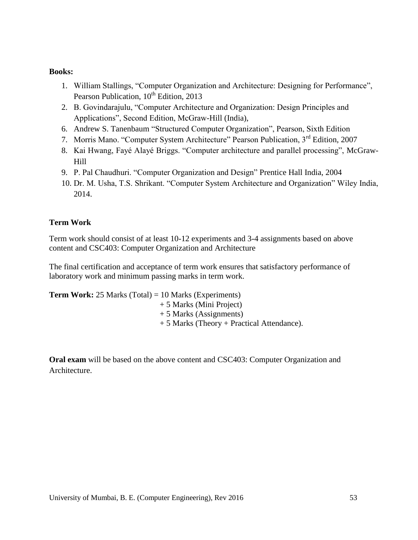#### **Books:**

- 1. William Stallings, "Computer Organization and Architecture: Designing for Performance", Pearson Publication, 10<sup>th</sup> Edition, 2013
- 2. B. Govindarajulu, "Computer Architecture and Organization: Design Principles and Applications", Second Edition, McGraw-Hill (India),
- 6. Andrew S. Tanenbaum "Structured Computer Organization", Pearson, Sixth Edition
- 7. Morris Mano. "Computer System Architecture" Pearson Publication, 3<sup>rd</sup> Edition, 2007
- 8. Kai Hwang, Fayé Alayé Briggs. "Computer architecture and parallel processing", McGraw-Hill
- 9. P. Pal Chaudhuri. "Computer Organization and Design" Prentice Hall India, 2004
- 10. Dr. M. Usha, T.S. Shrikant. "Computer System Architecture and Organization" Wiley India, 2014.

#### **Term Work**

Term work should consist of at least 10-12 experiments and 3-4 assignments based on above content and CSC403: Computer Organization and Architecture

The final certification and acceptance of term work ensures that satisfactory performance of laboratory work and minimum passing marks in term work.

**Term Work:** 25 Marks (Total) = 10 Marks (Experiments) + 5 Marks (Mini Project) + 5 Marks (Assignments) + 5 Marks (Theory + Practical Attendance).

**Oral exam** will be based on the above content and CSC403: Computer Organization and Architecture.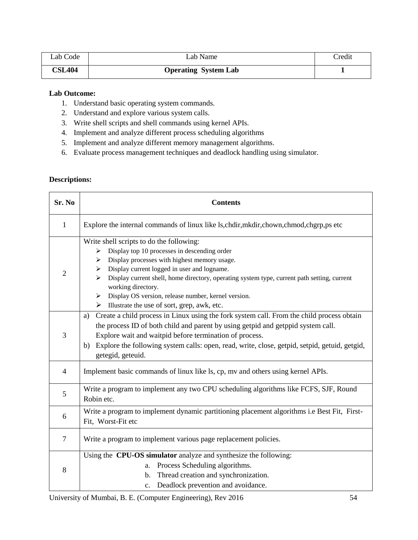| Lab Code      | Lab Name                    | <b>Tredit</b> |
|---------------|-----------------------------|---------------|
| <b>CSL404</b> | <b>Operating System Lab</b> |               |

#### **Lab Outcome:**

- 1. Understand basic operating system commands.
- 2. Understand and explore various system calls.
- 3. Write shell scripts and shell commands using kernel APIs.
- 4. Implement and analyze different process scheduling algorithms
- 5. Implement and analyze different memory management algorithms.
- 6. Evaluate process management techniques and deadlock handling using simulator.

## **Descriptions:**

| Sr. No         | <b>Contents</b>                                                                                                                                                                                                                                                                                                                                                                                                                                                                                      |  |  |  |
|----------------|------------------------------------------------------------------------------------------------------------------------------------------------------------------------------------------------------------------------------------------------------------------------------------------------------------------------------------------------------------------------------------------------------------------------------------------------------------------------------------------------------|--|--|--|
| $\mathbf{1}$   | Explore the internal commands of linux like ls, chdir, mkdir, chown, chmod, chgrp, ps etc                                                                                                                                                                                                                                                                                                                                                                                                            |  |  |  |
| $\overline{2}$ | Write shell scripts to do the following:<br>Display top 10 processes in descending order<br>➤<br>Display processes with highest memory usage.<br>➤<br>Display current logged in user and logname.<br>≻<br>Display current shell, home directory, operating system type, current path setting, current<br>$\blacktriangleright$<br>working directory.<br>Display OS version, release number, kernel version.<br>$\blacktriangleright$<br>$\triangleright$ Illustrate the use of sort, grep, awk, etc. |  |  |  |
| 3              | Create a child process in Linux using the fork system call. From the child process obtain<br>a)<br>the process ID of both child and parent by using getpid and getppid system call.<br>Explore wait and waitpid before termination of process.<br>Explore the following system calls: open, read, write, close, getpid, setpid, getuid, getgid,<br>b)<br>getegid, geteuid.                                                                                                                           |  |  |  |
| $\overline{4}$ | Implement basic commands of linux like ls, cp, mv and others using kernel APIs.                                                                                                                                                                                                                                                                                                                                                                                                                      |  |  |  |
| 5              | Write a program to implement any two CPU scheduling algorithms like FCFS, SJF, Round<br>Robin etc.                                                                                                                                                                                                                                                                                                                                                                                                   |  |  |  |
| 6              | Write a program to implement dynamic partitioning placement algorithms i.e Best Fit, First-<br>Fit, Worst-Fit etc                                                                                                                                                                                                                                                                                                                                                                                    |  |  |  |
| $\overline{7}$ | Write a program to implement various page replacement policies.                                                                                                                                                                                                                                                                                                                                                                                                                                      |  |  |  |
| 8              | Using the CPU-OS simulator analyze and synthesize the following:<br>Process Scheduling algorithms.<br>a.<br>Thread creation and synchronization.<br>b.<br>Deadlock prevention and avoidance.<br>$\mathbf{c}$ .                                                                                                                                                                                                                                                                                       |  |  |  |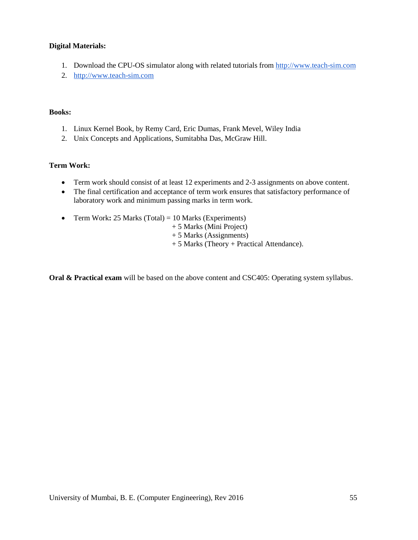#### **Digital Materials:**

- 1. Download the CPU-OS simulator along with related tutorials from [http://www.teach-sim.com](http://www.teach-sim.com/)
- 2. [http://www.teach-sim.com](http://www.teach-sim.com/)

#### **Books:**

- 1. Linux Kernel Book, by Remy Card, Eric Dumas, Frank Mevel, Wiley India
- 2. Unix Concepts and Applications, Sumitabha Das, McGraw Hill.

#### **Term Work:**

- Term work should consist of at least 12 experiments and 2-3 assignments on above content.
- The final certification and acceptance of term work ensures that satisfactory performance of laboratory work and minimum passing marks in term work.
- Term Work: 25 Marks (Total) = 10 Marks (Experiments)
	- + 5 Marks (Mini Project)
	- + 5 Marks (Assignments)
	- + 5 Marks (Theory + Practical Attendance).

**Oral & Practical exam** will be based on the above content and CSC405: Operating system syllabus.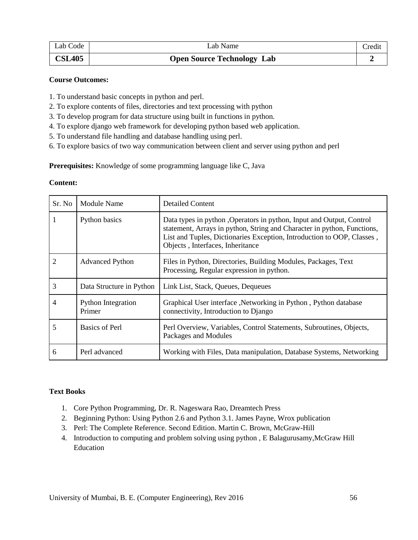| Lab Code      | Lab Name                          | Credit |
|---------------|-----------------------------------|--------|
| <b>CSL405</b> | <b>Open Source Technology Lab</b> |        |

#### **Course Outcomes:**

- 1. To understand basic concepts in python and perl.
- 2. To explore contents of files, directories and text processing with python
- 3. To develop program for data structure using built in functions in python.
- 4. To explore django web framework for developing python based web application.
- 5. To understand file handling and database handling using perl.
- 6. To explore basics of two way communication between client and server using python and perl

**Prerequisites:** Knowledge of some programming language like C, Java

#### **Content:**

| Sr. No | Module Name                         | <b>Detailed Content</b>                                                                                                                                                                                                                                       |
|--------|-------------------------------------|---------------------------------------------------------------------------------------------------------------------------------------------------------------------------------------------------------------------------------------------------------------|
| 1      | Python basics                       | Data types in python, Operators in python, Input and Output, Control<br>statement, Arrays in python, String and Character in python, Functions,<br>List and Tuples, Dictionaries Exception, Introduction to OOP, Classes,<br>Objects, Interfaces, Inheritance |
| 2      | <b>Advanced Python</b>              | Files in Python, Directories, Building Modules, Packages, Text<br>Processing, Regular expression in python.                                                                                                                                                   |
| 3      | Data Structure in Python            | Link List, Stack, Queues, Dequeues                                                                                                                                                                                                                            |
| 4      | <b>Python Integration</b><br>Primer | Graphical User interface , Networking in Python , Python database<br>connectivity, Introduction to Django                                                                                                                                                     |
| 5      | <b>Basics of Perl</b>               | Perl Overview, Variables, Control Statements, Subroutines, Objects,<br>Packages and Modules                                                                                                                                                                   |
| 6      | Perl advanced                       | Working with Files, Data manipulation, Database Systems, Networking                                                                                                                                                                                           |

#### **Text Books**

- 1. Core Python Programming, Dr. R. Nageswara Rao, Dreamtech Press
- 2. Beginning Python: Using Python 2.6 and Python 3.1. James Payne, Wrox publication
- 3. Perl: The Complete Reference. Second Edition. Martin C. Brown, McGraw-Hill
- 4. Introduction to computing and problem solving using python , E Balagurusamy,McGraw Hill Education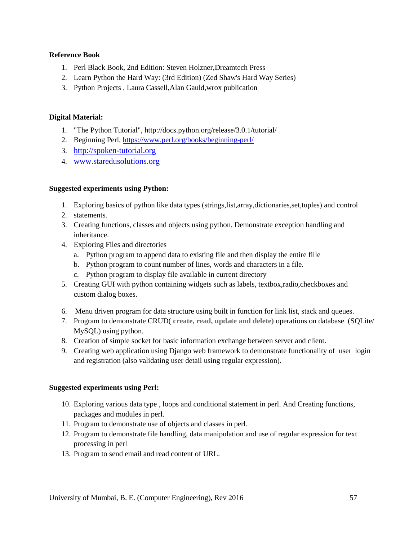#### **Reference Book**

- 1. Perl Black Book, 2nd Edition: Steven Holzner,Dreamtech Press
- 2. Learn Python the Hard Way: (3rd Edition) (Zed Shaw's Hard Way Series)
- 3. Python Projects , Laura Cassell,Alan Gauld,wrox publication

#### **Digital Material:**

- 1. "The Python Tutorial", <http://docs.python.org/release/3.0.1/tutorial/>
- 2. Beginning Perl,<https://www.perl.org/books/beginning-perl/>
- 3. [http://spoken-tutorial.org](http://spoken-tutorial.org/)
- 4. [www.staredusolutions.org](http://www.staredusolutions.org/)

#### **Suggested experiments using Python:**

- 1. Exploring basics of python like data types (strings,list,array,dictionaries,set,tuples) and control
- 2. statements.
- 3. Creating functions, classes and objects using python. Demonstrate exception handling and inheritance.
- 4. Exploring Files and directories
	- a. Python program to append data to existing file and then display the entire fille
	- b. Python program to count number of lines, words and characters in a file.
	- c. Python program to display file available in current directory
- 5. Creating GUI with python containing widgets such as labels, textbox,radio,checkboxes and custom dialog boxes.
- 6. Menu driven program for data structure using built in function for link list, stack and queues.
- 7. Program to demonstrate CRUD( **create, read, update and delete)** operations on database (SQLite/ MySQL) using python.
- 8. Creation of simple socket for basic information exchange between server and client.
- 9. Creating web application using Django web framework to demonstrate functionality of user login and registration (also validating user detail using regular expression).

#### **Suggested experiments using Perl:**

- 10. Exploring various data type , loops and conditional statement in perl. And Creating functions, packages and modules in perl.
- 11. Program to demonstrate use of objects and classes in perl.
- 12. Program to demonstrate file handling, data manipulation and use of regular expression for text processing in perl
- 13. Program to send email and read content of URL.